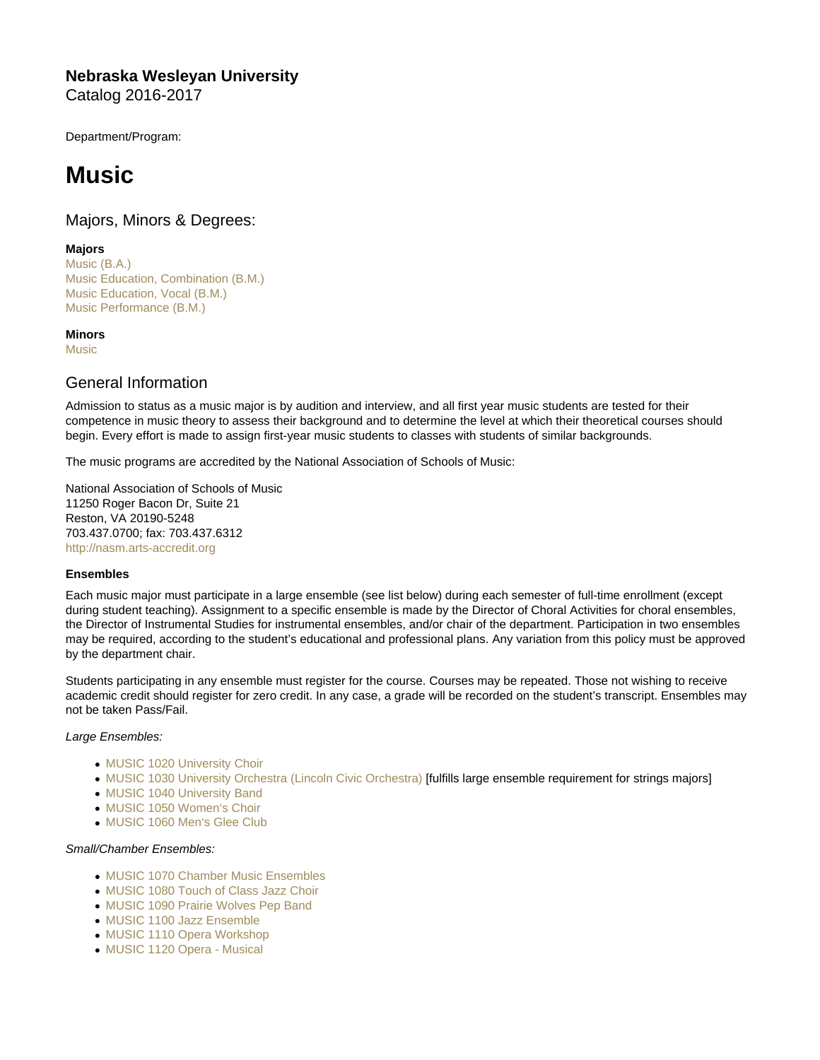# Nebraska Wesleyan University Catalog 2016-2017

Department/Program:

# Music

# Majors, Minors & Degrees:

# Majors

[Music \(B.A.\)](https://catalog.nebrwesleyan.edu/cc/2016-2017/mmd/309561) [Music Education, Combination \(B.M.\)](https://catalog.nebrwesleyan.edu/cc/2016-2017/mmd/309560) [Music Education, Vocal \(B.M.\)](https://catalog.nebrwesleyan.edu/cc/2016-2017/mmd/309558) [Music Performance \(B.M.\)](https://catalog.nebrwesleyan.edu/cc/2016-2017/mmd/309557)

# **Minors**

**[Music](https://catalog.nebrwesleyan.edu/cc/2016-2017/mmd/309562)** 

# General Information

Admission to status as a music major is by audition and interview, and all first year music students are tested for their competence in music theory to assess their background and to determine the level at which their theoretical courses should begin. Every effort is made to assign first-year music students to classes with students of similar backgrounds.

The music programs are accredited by the National Association of Schools of Music:

National Association of Schools of Music 11250 Roger Bacon Dr, Suite 21 Reston, VA 20190-5248 703.437.0700; fax: 703.437.6312 <http://nasm.arts-accredit.org>

## Ensembles

Each music major must participate in a large ensemble (see list below) during each semester of full-time enrollment (except during student teaching). Assignment to a specific ensemble is made by the Director of Choral Activities for choral ensembles, the Director of Instrumental Studies for instrumental ensembles, and/or chair of the department. Participation in two ensembles may be required, according to the student's educational and professional plans. Any variation from this policy must be approved by the department chair.

Students participating in any ensemble must register for the course. Courses may be repeated. Those not wishing to receive academic credit should register for zero credit. In any case, a grade will be recorded on the student's transcript. Ensembles may not be taken Pass/Fail.

## Large Ensembles:

- [MUSIC 1020 University Choir](https://catalog.nebrwesleyan.edu/cc/2021-2022/course/359959)
- [MUSIC 1030 University Orchestra \(Lincoln Civic Orchestra\)](https://catalog.nebrwesleyan.edu/cc/2021-2022/course/359960) [fulfills large ensemble requirement for strings majors]
- [MUSIC 1040 University Band](https://catalog.nebrwesleyan.edu/cc/2021-2022/course/359961)
- [MUSIC 1050 Women's Choir](https://catalog.nebrwesleyan.edu/cc/2021-2022/course/359962)
- [MUSIC 1060 Men's Glee Club](https://catalog.nebrwesleyan.edu/cc/2021-2022/course/359963)

## Small/Chamber Ensembles:

- [MUSIC 1070 Chamber Music Ensembles](https://catalog.nebrwesleyan.edu/cc/2021-2022/course/359964)
- [MUSIC 1080 Touch of Class Jazz Choir](https://catalog.nebrwesleyan.edu/cc/2021-2022/course/359965)
- [MUSIC 1090 Prairie Wolves Pep Band](https://catalog.nebrwesleyan.edu/cc/2021-2022/course/359966)
- [MUSIC 1100 Jazz Ensemble](https://catalog.nebrwesleyan.edu/cc/2021-2022/course/359967)
- [MUSIC 1110 Opera Workshop](https://catalog.nebrwesleyan.edu/cc/2021-2022/course/359968)
- [MUSIC 1120 Opera Musical](https://catalog.nebrwesleyan.edu/cc/2021-2022/course/359969)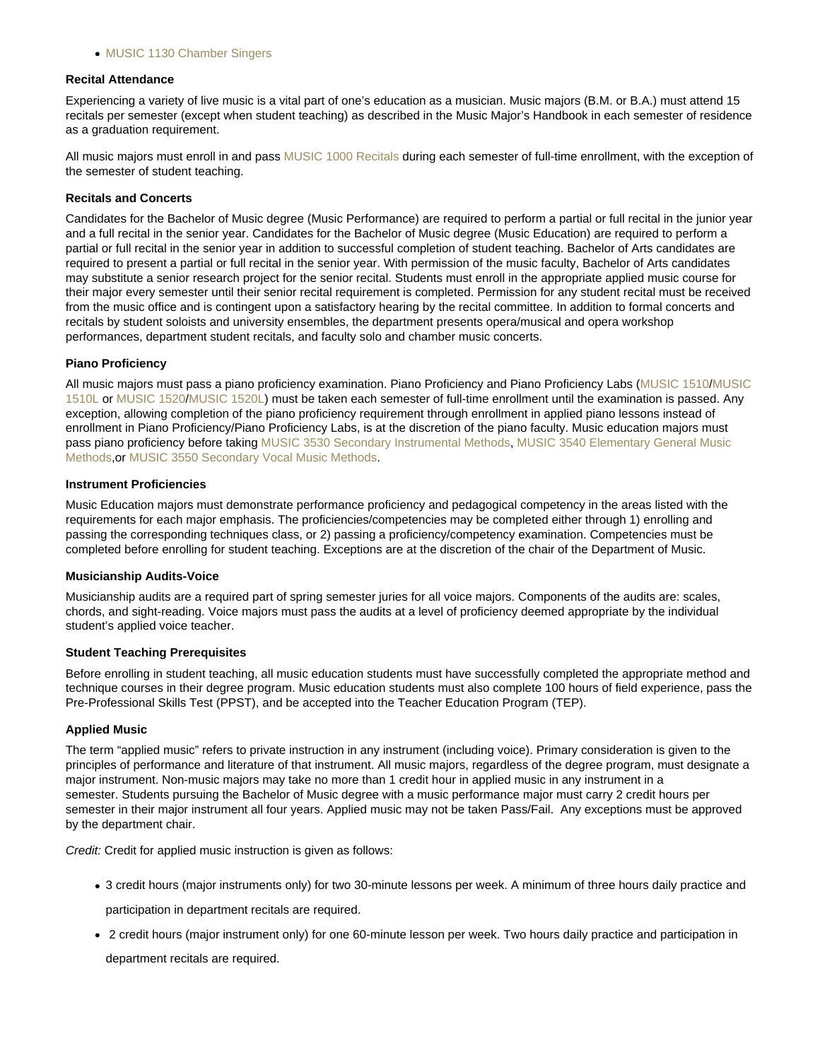#### [MUSIC 1130 Chamber Singers](https://catalog.nebrwesleyan.edu/cc/2021-2022/course/359970)

#### Recital Attendance

Experiencing a variety of live music is a vital part of one's education as a musician. Music majors (B.M. or B.A.) must attend 15 recitals per semester (except when student teaching) as described in the Music Major's Handbook in each semester of residence as a graduation requirement.

All music majors must enroll in and pass [MUSIC 1000 Recitals](https://catalog.nebrwesleyan.edu/cc/2021-2022/course/359957) during each semester of full-time enrollment, with the exception of the semester of student teaching.

#### Recitals and Concerts

Candidates for the Bachelor of Music degree (Music Performance) are required to perform a partial or full recital in the junior year and a full recital in the senior year. Candidates for the Bachelor of Music degree (Music Education) are required to perform a partial or full recital in the senior year in addition to successful completion of student teaching. Bachelor of Arts candidates are required to present a partial or full recital in the senior year. With permission of the music faculty, Bachelor of Arts candidates may substitute a senior research project for the senior recital. Students must enroll in the appropriate applied music course for their major every semester until their senior recital requirement is completed. Permission for any student recital must be received from the music office and is contingent upon a satisfactory hearing by the recital committee. In addition to formal concerts and recitals by student soloists and university ensembles, the department presents opera/musical and opera workshop performances, department student recitals, and faculty solo and chamber music concerts.

#### Piano Proficiency

All music majors must pass a piano proficiency examination. Piano Proficiency and Piano Proficiency Labs [\(MUSIC 1510/](https://catalog.nebrwesleyan.edu/cc/2021-2022/course/359991)[MUSIC](https://catalog.nebrwesleyan.edu/cc/2021-2022/course/362874) [1510L](https://catalog.nebrwesleyan.edu/cc/2021-2022/course/362874) or [MUSIC 1520/](https://catalog.nebrwesleyan.edu/cc/2021-2022/course/359992)[MUSIC 1520L\)](https://catalog.nebrwesleyan.edu/cc/2021-2022/course/362875) must be taken each semester of full-time enrollment until the examination is passed. Any exception, allowing completion of the piano proficiency requirement through enrollment in applied piano lessons instead of enrollment in Piano Proficiency/Piano Proficiency Labs, is at the discretion of the piano faculty. Music education majors must pass piano proficiency before taking [MUSIC 3530 Secondary Instrumental Methods](https://catalog.nebrwesleyan.edu/cc/2021-2022/course/360067), [MUSIC 3540 Elementary General Music](https://catalog.nebrwesleyan.edu/cc/2021-2022/course/360068) [Methods,](https://catalog.nebrwesleyan.edu/cc/2021-2022/course/360068)or [MUSIC 3550 Secondary Vocal Music Methods.](https://catalog.nebrwesleyan.edu/cc/2021-2022/course/360069)

#### Instrument Proficiencies

Music Education majors must demonstrate performance proficiency and pedagogical competency in the areas listed with the requirements for each major emphasis. The proficiencies/competencies may be completed either through 1) enrolling and passing the corresponding techniques class, or 2) passing a proficiency/competency examination. Competencies must be completed before enrolling for student teaching. Exceptions are at the discretion of the chair of the Department of Music.

#### Musicianship Audits-Voice

Musicianship audits are a required part of spring semester juries for all voice majors. Components of the audits are: scales, chords, and sight-reading. Voice majors must pass the audits at a level of proficiency deemed appropriate by the individual student's applied voice teacher.

#### Student Teaching Prerequisites

Before enrolling in student teaching, all music education students must have successfully completed the appropriate method and technique courses in their degree program. Music education students must also complete 100 hours of field experience, pass the Pre-Professional Skills Test (PPST), and be accepted into the Teacher Education Program (TEP).

#### Applied Music

The term "applied music" refers to private instruction in any instrument (including voice). Primary consideration is given to the principles of performance and literature of that instrument. All music majors, regardless of the degree program, must designate a major instrument. Non-music majors may take no more than 1 credit hour in applied music in any instrument in a semester. Students pursuing the Bachelor of Music degree with a music performance major must carry 2 credit hours per semester in their major instrument all four years. Applied music may not be taken Pass/Fail. Any exceptions must be approved by the department chair.

Credit: Credit for applied music instruction is given as follows:

- 3 credit hours (major instruments only) for two 30-minute lessons per week. A minimum of three hours daily practice and participation in department recitals are required.
- 2 credit hours (major instrument only) for one 60-minute lesson per week. Two hours daily practice and participation in department recitals are required.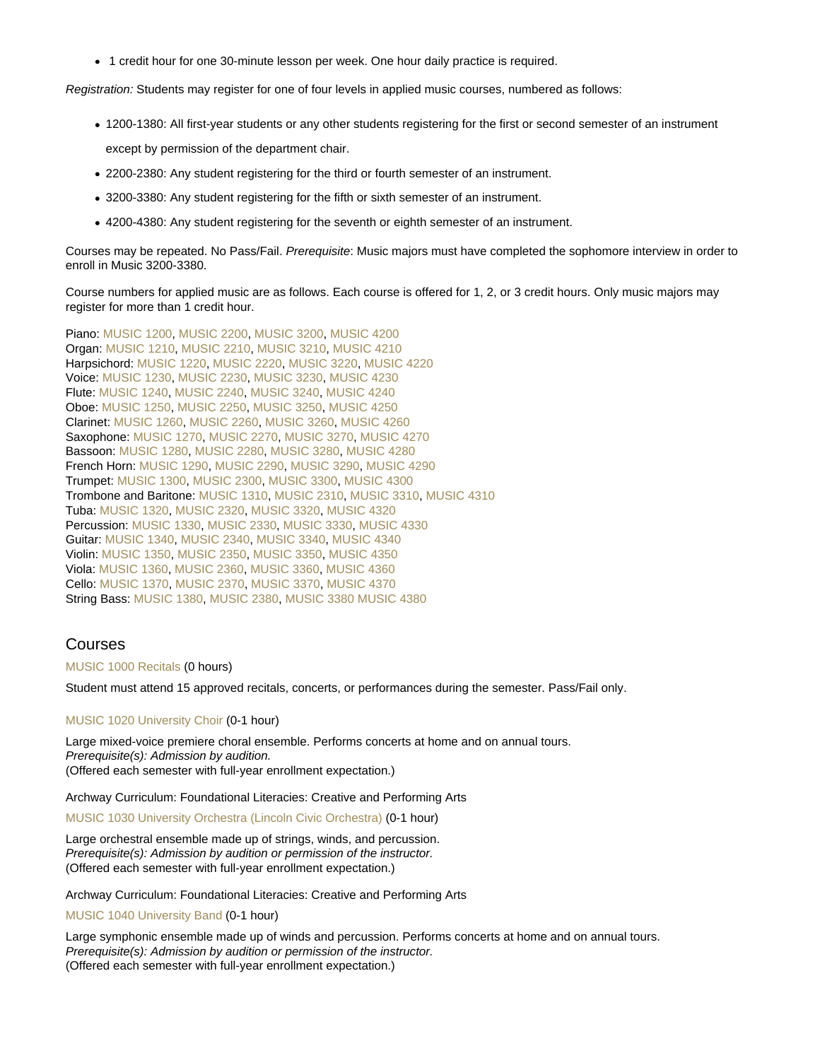1 credit hour for one 30-minute lesson per week. One hour daily practice is required.

Registration: Students may register for one of four levels in applied music courses, numbered as follows:

- 1200-1380: All first-year students or any other students registering for the first or second semester of an instrument except by permission of the department chair.
- 2200-2380: Any student registering for the third or fourth semester of an instrument.
- 3200-3380: Any student registering for the fifth or sixth semester of an instrument.
- 4200-4380: Any student registering for the seventh or eighth semester of an instrument.

Courses may be repeated. No Pass/Fail. Prerequisite: Music majors must have completed the sophomore interview in order to enroll in Music 3200-3380.

Course numbers for applied music are as follows. Each course is offered for 1, 2, or 3 credit hours. Only music majors may register for more than 1 credit hour.

Piano: [MUSIC 1200,](https://catalog.nebrwesleyan.edu/cc/2021-2022/course/359971) [MUSIC 2200](https://catalog.nebrwesleyan.edu/cc/2021-2022/course/360005), [MUSIC 3200,](https://catalog.nebrwesleyan.edu/cc/2021-2022/course/360045) [MUSIC 4200](https://catalog.nebrwesleyan.edu/cc/2021-2022/course/360752) Organ: [MUSIC 1210,](https://catalog.nebrwesleyan.edu/cc/2021-2022/course/359972) [MUSIC 2210](https://catalog.nebrwesleyan.edu/cc/2021-2022/course/360006), [MUSIC 3210,](https://catalog.nebrwesleyan.edu/cc/2021-2022/course/360046) [MUSIC 4210](https://catalog.nebrwesleyan.edu/cc/2021-2022/course/360753) Harpsichord: [MUSIC 1220](https://catalog.nebrwesleyan.edu/cc/2021-2022/course/359973), [MUSIC 2220,](https://catalog.nebrwesleyan.edu/cc/2021-2022/course/360007) [MUSIC 3220](https://catalog.nebrwesleyan.edu/cc/2021-2022/course/360047), [MUSIC 4220](https://catalog.nebrwesleyan.edu/cc/2021-2022/course/360754) Voice: [MUSIC 1230](https://catalog.nebrwesleyan.edu/cc/2021-2022/course/359974), [MUSIC 2230,](https://catalog.nebrwesleyan.edu/cc/2021-2022/course/360008) [MUSIC 3230](https://catalog.nebrwesleyan.edu/cc/2021-2022/course/360048), [MUSIC 4230](https://catalog.nebrwesleyan.edu/cc/2021-2022/course/360755) Flute: [MUSIC 1240,](https://catalog.nebrwesleyan.edu/cc/2021-2022/course/359975) [MUSIC 2240](https://catalog.nebrwesleyan.edu/cc/2021-2022/course/360009), [MUSIC 3240,](https://catalog.nebrwesleyan.edu/cc/2021-2022/course/360049) [MUSIC 4240](https://catalog.nebrwesleyan.edu/cc/2021-2022/course/360756) Oboe: [MUSIC 1250,](https://catalog.nebrwesleyan.edu/cc/2021-2022/course/359976) [MUSIC 2250](https://catalog.nebrwesleyan.edu/cc/2021-2022/course/360010), [MUSIC 3250,](https://catalog.nebrwesleyan.edu/cc/2021-2022/course/360050) [MUSIC 4250](https://catalog.nebrwesleyan.edu/cc/2021-2022/course/360757) Clarinet: [MUSIC 1260,](https://catalog.nebrwesleyan.edu/cc/2021-2022/course/359977) [MUSIC 2260](https://catalog.nebrwesleyan.edu/cc/2021-2022/course/360011), [MUSIC 3260,](https://catalog.nebrwesleyan.edu/cc/2021-2022/course/360051) [MUSIC 4260](https://catalog.nebrwesleyan.edu/cc/2021-2022/course/360758) Saxophone: [MUSIC 1270](https://catalog.nebrwesleyan.edu/cc/2021-2022/course/359978), [MUSIC 2270,](https://catalog.nebrwesleyan.edu/cc/2021-2022/course/360012) [MUSIC 3270](https://catalog.nebrwesleyan.edu/cc/2021-2022/course/360052), [MUSIC 4270](https://catalog.nebrwesleyan.edu/cc/2021-2022/course/360759) Bassoon: [MUSIC 1280,](https://catalog.nebrwesleyan.edu/cc/2021-2022/course/359979) [MUSIC 2280](https://catalog.nebrwesleyan.edu/cc/2021-2022/course/360013), [MUSIC 3280,](https://catalog.nebrwesleyan.edu/cc/2021-2022/course/360053) [MUSIC 4280](https://catalog.nebrwesleyan.edu/cc/2021-2022/course/360760) French Horn: [MUSIC 1290,](https://catalog.nebrwesleyan.edu/cc/2021-2022/course/359980) [MUSIC 2290](https://catalog.nebrwesleyan.edu/cc/2021-2022/course/360014), [MUSIC 3290,](https://catalog.nebrwesleyan.edu/cc/2021-2022/course/360054) [MUSIC 4290](https://catalog.nebrwesleyan.edu/cc/2021-2022/course/360761) Trumpet: [MUSIC 1300](https://catalog.nebrwesleyan.edu/cc/2021-2022/course/359981), [MUSIC 2300,](https://catalog.nebrwesleyan.edu/cc/2021-2022/course/360015) [MUSIC 3300](https://catalog.nebrwesleyan.edu/cc/2021-2022/course/360055), [MUSIC 4300](https://catalog.nebrwesleyan.edu/cc/2021-2022/course/360762) Trombone and Baritone: [MUSIC 1310](https://catalog.nebrwesleyan.edu/cc/2021-2022/course/359982), [MUSIC 2310,](https://catalog.nebrwesleyan.edu/cc/2021-2022/course/360016) [MUSIC 3310](https://catalog.nebrwesleyan.edu/cc/2021-2022/course/360056), [MUSIC 4310](https://catalog.nebrwesleyan.edu/cc/2021-2022/course/360763) Tuba: [MUSIC 1320](https://catalog.nebrwesleyan.edu/cc/2021-2022/course/359983), [MUSIC 2320,](https://catalog.nebrwesleyan.edu/cc/2021-2022/course/360017) [MUSIC 3320](https://catalog.nebrwesleyan.edu/cc/2021-2022/course/360057), [MUSIC 4320](https://catalog.nebrwesleyan.edu/cc/2021-2022/course/360764) Percussion: [MUSIC 1330](https://catalog.nebrwesleyan.edu/cc/2021-2022/course/359984), [MUSIC 2330,](https://catalog.nebrwesleyan.edu/cc/2021-2022/course/360018) [MUSIC 3330](https://catalog.nebrwesleyan.edu/cc/2021-2022/course/360058), [MUSIC 4330](https://catalog.nebrwesleyan.edu/cc/2021-2022/course/360765) Guitar: [MUSIC 1340](https://catalog.nebrwesleyan.edu/cc/2021-2022/course/359985), [MUSIC 2340,](https://catalog.nebrwesleyan.edu/cc/2021-2022/course/360019) [MUSIC 3340](https://catalog.nebrwesleyan.edu/cc/2021-2022/course/360059), [MUSIC 4340](https://catalog.nebrwesleyan.edu/cc/2021-2022/course/360766) Violin: [MUSIC 1350,](https://catalog.nebrwesleyan.edu/cc/2021-2022/course/359986) [MUSIC 2350](https://catalog.nebrwesleyan.edu/cc/2021-2022/course/360020), [MUSIC 3350,](https://catalog.nebrwesleyan.edu/cc/2021-2022/course/360060) [MUSIC 4350](https://catalog.nebrwesleyan.edu/cc/2021-2022/course/360767) Viola: [MUSIC 1360,](https://catalog.nebrwesleyan.edu/cc/2021-2022/course/359987) [MUSIC 2360](https://catalog.nebrwesleyan.edu/cc/2021-2022/course/360021), [MUSIC 3360,](https://catalog.nebrwesleyan.edu/cc/2021-2022/course/360061) [MUSIC 4360](https://catalog.nebrwesleyan.edu/cc/2021-2022/course/360768) Cello: [MUSIC 1370](https://catalog.nebrwesleyan.edu/cc/2021-2022/course/359988), [MUSIC 2370,](https://catalog.nebrwesleyan.edu/cc/2021-2022/course/360022) [MUSIC 3370](https://catalog.nebrwesleyan.edu/cc/2021-2022/course/360062), [MUSIC 4370](https://catalog.nebrwesleyan.edu/cc/2021-2022/course/360769) String Bass: [MUSIC 1380,](https://catalog.nebrwesleyan.edu/cc/2021-2022/course/359989) [MUSIC 2380](https://catalog.nebrwesleyan.edu/cc/2021-2022/course/360023), [MUSIC 3380](https://catalog.nebrwesleyan.edu/cc/2021-2022/course/360063) [MUSIC 4380](https://catalog.nebrwesleyan.edu/cc/2021-2022/course/360770)

# Courses

#### [MUSIC 1000 Recitals](https://catalog.nebrwesleyan.edu/node/306786) (0 hours)

Student must attend 15 approved recitals, concerts, or performances during the semester. Pass/Fail only.

#### [MUSIC 1020 University Choir](https://catalog.nebrwesleyan.edu/node/306788) (0-1 hour)

Large mixed-voice premiere choral ensemble. Performs concerts at home and on annual tours. Prerequisite(s): Admission by audition. (Offered each semester with full-year enrollment expectation.)

Archway Curriculum: Foundational Literacies: Creative and Performing Arts

[MUSIC 1030 University Orchestra \(Lincoln Civic Orchestra\)](https://catalog.nebrwesleyan.edu/node/306789) (0-1 hour)

Large orchestral ensemble made up of strings, winds, and percussion. Prerequisite(s): Admission by audition or permission of the instructor. (Offered each semester with full-year enrollment expectation.)

Archway Curriculum: Foundational Literacies: Creative and Performing Arts

#### [MUSIC 1040 University Band](https://catalog.nebrwesleyan.edu/node/306790) (0-1 hour)

Large symphonic ensemble made up of winds and percussion. Performs concerts at home and on annual tours. Prerequisite(s): Admission by audition or permission of the instructor. (Offered each semester with full-year enrollment expectation.)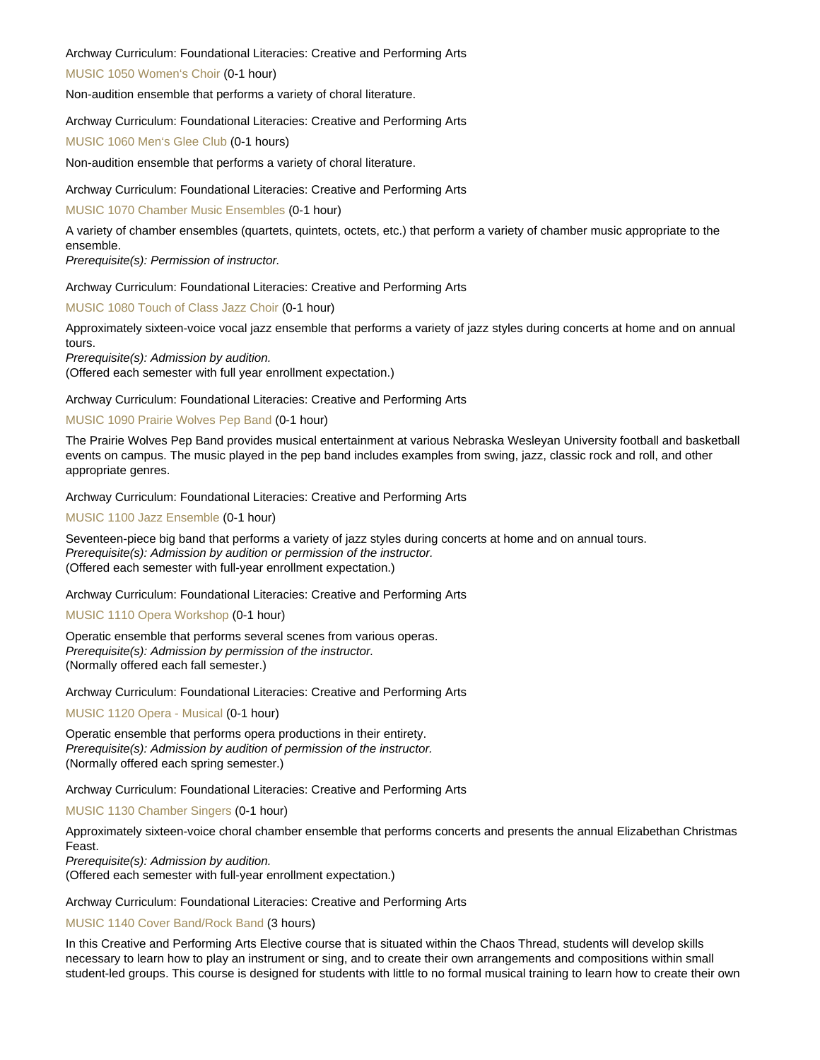#### Archway Curriculum: Foundational Literacies: Creative and Performing Arts

[MUSIC 1050 Women's Choir](https://catalog.nebrwesleyan.edu/node/306791) (0-1 hour)

Non-audition ensemble that performs a variety of choral literature.

#### Archway Curriculum: Foundational Literacies: Creative and Performing Arts

[MUSIC 1060 Men's Glee Club](https://catalog.nebrwesleyan.edu/node/306792) (0-1 hours)

Non-audition ensemble that performs a variety of choral literature.

Archway Curriculum: Foundational Literacies: Creative and Performing Arts

#### [MUSIC 1070 Chamber Music Ensembles](https://catalog.nebrwesleyan.edu/node/306793) (0-1 hour)

A variety of chamber ensembles (quartets, quintets, octets, etc.) that perform a variety of chamber music appropriate to the ensemble.

Prerequisite(s): Permission of instructor.

Archway Curriculum: Foundational Literacies: Creative and Performing Arts

[MUSIC 1080 Touch of Class Jazz Choir](https://catalog.nebrwesleyan.edu/node/306794) (0-1 hour)

Approximately sixteen-voice vocal jazz ensemble that performs a variety of jazz styles during concerts at home and on annual tours.

Prerequisite(s): Admission by audition.

(Offered each semester with full year enrollment expectation.)

Archway Curriculum: Foundational Literacies: Creative and Performing Arts

#### [MUSIC 1090 Prairie Wolves Pep Band](https://catalog.nebrwesleyan.edu/node/306795) (0-1 hour)

The Prairie Wolves Pep Band provides musical entertainment at various Nebraska Wesleyan University football and basketball events on campus. The music played in the pep band includes examples from swing, jazz, classic rock and roll, and other appropriate genres.

Archway Curriculum: Foundational Literacies: Creative and Performing Arts

[MUSIC 1100 Jazz Ensemble](https://catalog.nebrwesleyan.edu/node/306796) (0-1 hour)

Seventeen-piece big band that performs a variety of jazz styles during concerts at home and on annual tours. Prerequisite(s): Admission by audition or permission of the instructor. (Offered each semester with full-year enrollment expectation.)

#### Archway Curriculum: Foundational Literacies: Creative and Performing Arts

[MUSIC 1110 Opera Workshop](https://catalog.nebrwesleyan.edu/node/306797) (0-1 hour)

Operatic ensemble that performs several scenes from various operas. Prerequisite(s): Admission by permission of the instructor. (Normally offered each fall semester.)

Archway Curriculum: Foundational Literacies: Creative and Performing Arts

[MUSIC 1120 Opera - Musical](https://catalog.nebrwesleyan.edu/node/306798) (0-1 hour)

Operatic ensemble that performs opera productions in their entirety. Prerequisite(s): Admission by audition of permission of the instructor. (Normally offered each spring semester.)

#### Archway Curriculum: Foundational Literacies: Creative and Performing Arts

[MUSIC 1130 Chamber Singers](https://catalog.nebrwesleyan.edu/node/306799) (0-1 hour)

Approximately sixteen-voice choral chamber ensemble that performs concerts and presents the annual Elizabethan Christmas Feast.

Prerequisite(s): Admission by audition.

(Offered each semester with full-year enrollment expectation.)

Archway Curriculum: Foundational Literacies: Creative and Performing Arts

[MUSIC 1140 Cover Band/Rock Band](https://catalog.nebrwesleyan.edu/node/315452) (3 hours)

In this Creative and Performing Arts Elective course that is situated within the Chaos Thread, students will develop skills necessary to learn how to play an instrument or sing, and to create their own arrangements and compositions within small student-led groups. This course is designed for students with little to no formal musical training to learn how to create their own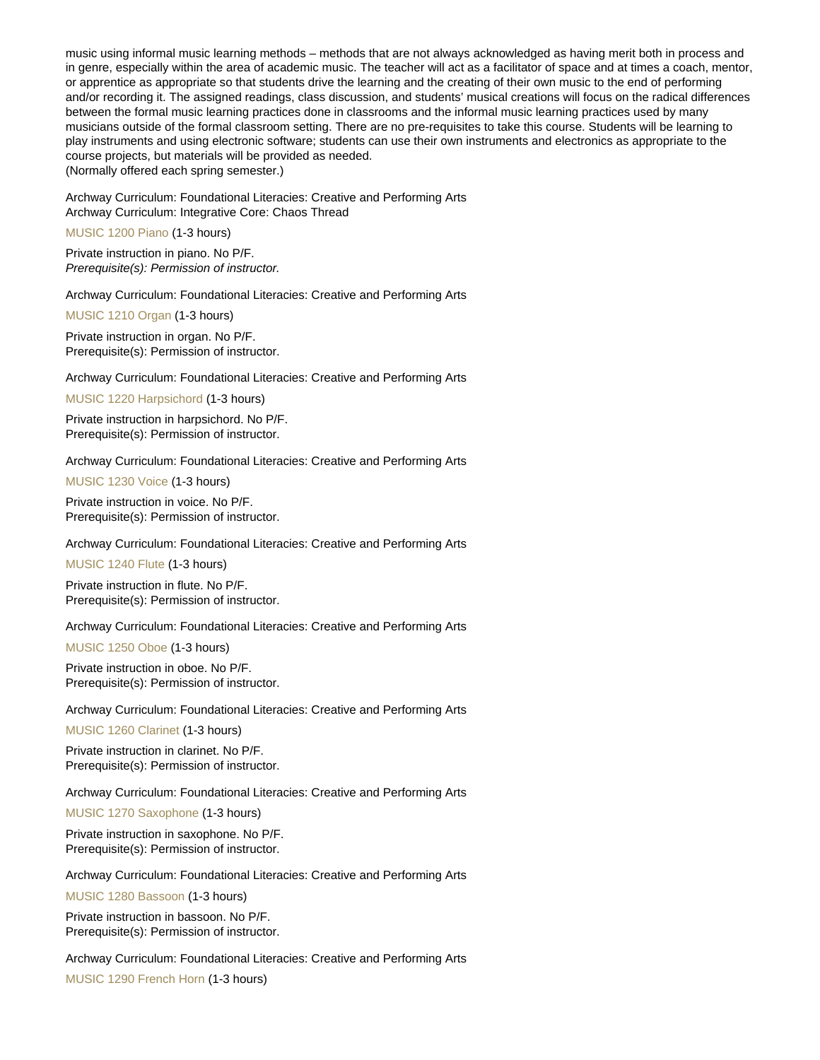music using informal music learning methods – methods that are not always acknowledged as having merit both in process and in genre, especially within the area of academic music. The teacher will act as a facilitator of space and at times a coach, mentor, or apprentice as appropriate so that students drive the learning and the creating of their own music to the end of performing and/or recording it. The assigned readings, class discussion, and students' musical creations will focus on the radical differences between the formal music learning practices done in classrooms and the informal music learning practices used by many musicians outside of the formal classroom setting. There are no pre-requisites to take this course. Students will be learning to play instruments and using electronic software; students can use their own instruments and electronics as appropriate to the course projects, but materials will be provided as needed.

(Normally offered each spring semester.)

Archway Curriculum: Foundational Literacies: Creative and Performing Arts Archway Curriculum: Integrative Core: Chaos Thread

[MUSIC 1200 Piano](https://catalog.nebrwesleyan.edu/node/306800) (1-3 hours)

Private instruction in piano. No P/F. Prerequisite(s): Permission of instructor.

Archway Curriculum: Foundational Literacies: Creative and Performing Arts

[MUSIC 1210 Organ](https://catalog.nebrwesleyan.edu/node/306801) (1-3 hours)

Private instruction in organ. No P/F. Prerequisite(s): Permission of instructor.

Archway Curriculum: Foundational Literacies: Creative and Performing Arts

[MUSIC 1220 Harpsichord](https://catalog.nebrwesleyan.edu/node/306802) (1-3 hours)

Private instruction in harpsichord. No P/F. Prerequisite(s): Permission of instructor.

Archway Curriculum: Foundational Literacies: Creative and Performing Arts

[MUSIC 1230 Voice](https://catalog.nebrwesleyan.edu/node/306803) (1-3 hours)

Private instruction in voice. No P/F. Prerequisite(s): Permission of instructor.

Archway Curriculum: Foundational Literacies: Creative and Performing Arts

[MUSIC 1240 Flute](https://catalog.nebrwesleyan.edu/node/306804) (1-3 hours)

Private instruction in flute. No P/F. Prerequisite(s): Permission of instructor.

Archway Curriculum: Foundational Literacies: Creative and Performing Arts

[MUSIC 1250 Oboe](https://catalog.nebrwesleyan.edu/node/306805) (1-3 hours)

Private instruction in oboe. No P/F. Prerequisite(s): Permission of instructor.

Archway Curriculum: Foundational Literacies: Creative and Performing Arts

[MUSIC 1260 Clarinet](https://catalog.nebrwesleyan.edu/node/306806) (1-3 hours)

Private instruction in clarinet. No P/F. Prerequisite(s): Permission of instructor.

Archway Curriculum: Foundational Literacies: Creative and Performing Arts

[MUSIC 1270 Saxophone](https://catalog.nebrwesleyan.edu/node/306807) (1-3 hours)

Private instruction in saxophone. No P/F. Prerequisite(s): Permission of instructor.

Archway Curriculum: Foundational Literacies: Creative and Performing Arts

[MUSIC 1280 Bassoon](https://catalog.nebrwesleyan.edu/node/306808) (1-3 hours)

Private instruction in bassoon. No P/F. Prerequisite(s): Permission of instructor.

Archway Curriculum: Foundational Literacies: Creative and Performing Arts

[MUSIC 1290 French Horn](https://catalog.nebrwesleyan.edu/node/306809) (1-3 hours)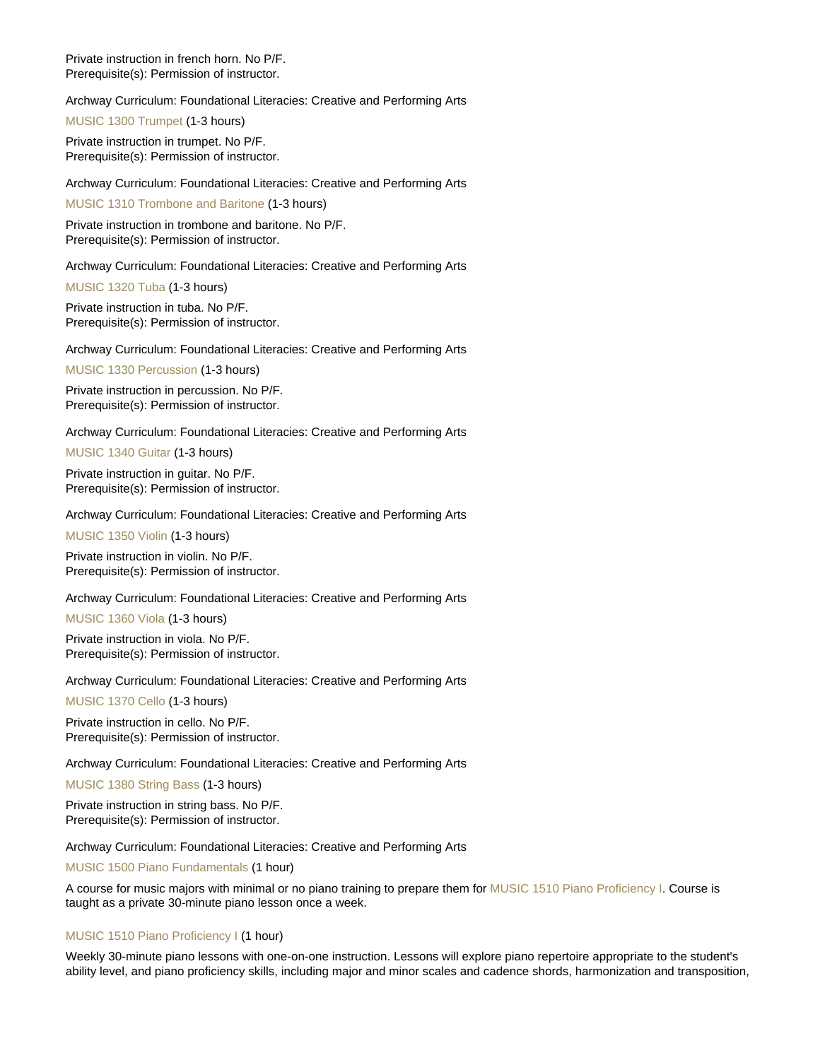Private instruction in french horn. No P/F. Prerequisite(s): Permission of instructor.

Archway Curriculum: Foundational Literacies: Creative and Performing Arts

[MUSIC 1300 Trumpet](https://catalog.nebrwesleyan.edu/node/306810) (1-3 hours)

Private instruction in trumpet. No P/F. Prerequisite(s): Permission of instructor.

Archway Curriculum: Foundational Literacies: Creative and Performing Arts

[MUSIC 1310 Trombone and Baritone](https://catalog.nebrwesleyan.edu/node/306811) (1-3 hours)

Private instruction in trombone and baritone. No P/F. Prerequisite(s): Permission of instructor.

Archway Curriculum: Foundational Literacies: Creative and Performing Arts

[MUSIC 1320 Tuba](https://catalog.nebrwesleyan.edu/node/306812) (1-3 hours)

Private instruction in tuba. No P/F. Prerequisite(s): Permission of instructor.

Archway Curriculum: Foundational Literacies: Creative and Performing Arts

[MUSIC 1330 Percussion](https://catalog.nebrwesleyan.edu/node/306813) (1-3 hours)

Private instruction in percussion. No P/F. Prerequisite(s): Permission of instructor.

Archway Curriculum: Foundational Literacies: Creative and Performing Arts

[MUSIC 1340 Guitar](https://catalog.nebrwesleyan.edu/node/306814) (1-3 hours)

Private instruction in guitar. No P/F. Prerequisite(s): Permission of instructor.

Archway Curriculum: Foundational Literacies: Creative and Performing Arts

[MUSIC 1350 Violin](https://catalog.nebrwesleyan.edu/node/306815) (1-3 hours)

Private instruction in violin. No P/F. Prerequisite(s): Permission of instructor.

Archway Curriculum: Foundational Literacies: Creative and Performing Arts

[MUSIC 1360 Viola](https://catalog.nebrwesleyan.edu/node/306816) (1-3 hours)

Private instruction in viola. No P/F. Prerequisite(s): Permission of instructor.

Archway Curriculum: Foundational Literacies: Creative and Performing Arts

[MUSIC 1370 Cello](https://catalog.nebrwesleyan.edu/node/306817) (1-3 hours)

Private instruction in cello. No P/F. Prerequisite(s): Permission of instructor.

Archway Curriculum: Foundational Literacies: Creative and Performing Arts

[MUSIC 1380 String Bass](https://catalog.nebrwesleyan.edu/node/306818) (1-3 hours)

Private instruction in string bass. No P/F. Prerequisite(s): Permission of instructor.

Archway Curriculum: Foundational Literacies: Creative and Performing Arts

[MUSIC 1500 Piano Fundamentals](https://catalog.nebrwesleyan.edu/node/306819) (1 hour)

A course for music majors with minimal or no piano training to prepare them for [MUSIC 1510 Piano Proficiency I.](https://catalog.nebrwesleyan.edu/cc/2021-2022/course/359991) Course is taught as a private 30-minute piano lesson once a week.

#### [MUSIC 1510 Piano Proficiency I](https://catalog.nebrwesleyan.edu/node/306820) (1 hour)

Weekly 30-minute piano lessons with one-on-one instruction. Lessons will explore piano repertoire appropriate to the student's ability level, and piano proficiency skills, including major and minor scales and cadence shords, harmonization and transposition,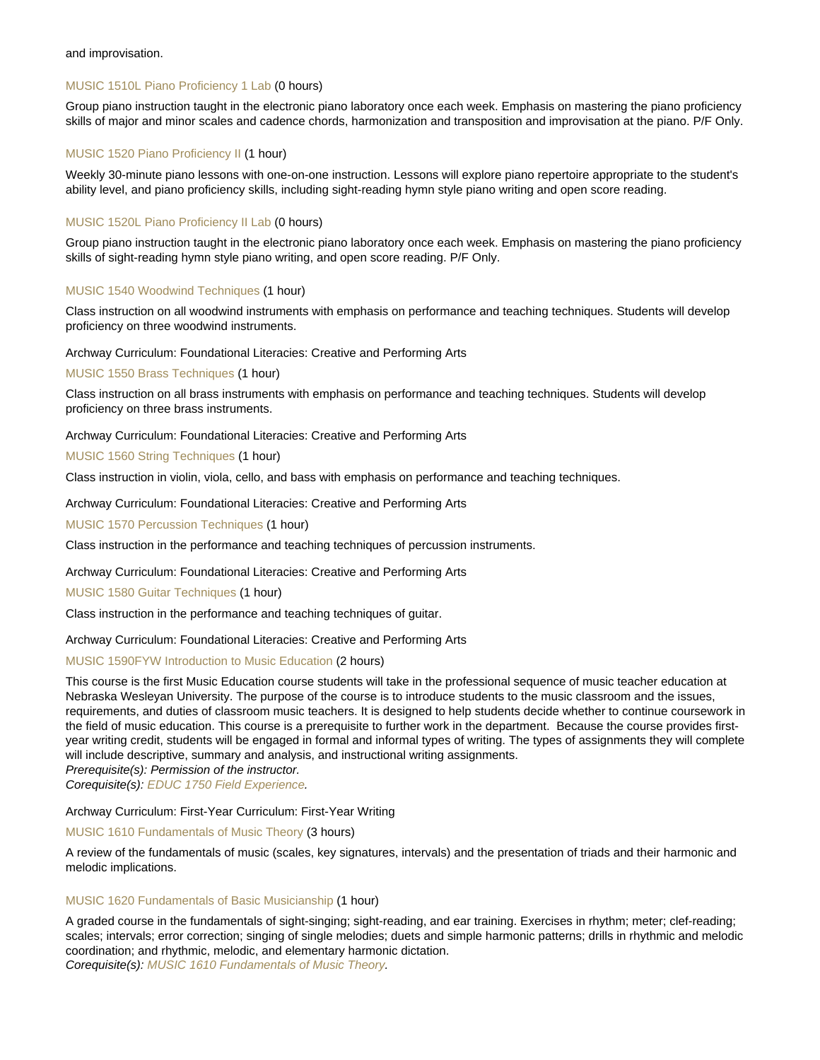#### and improvisation.

#### [MUSIC 1510L Piano Proficiency 1 Lab](https://catalog.nebrwesleyan.edu/node/310197) (0 hours)

Group piano instruction taught in the electronic piano laboratory once each week. Emphasis on mastering the piano proficiency skills of major and minor scales and cadence chords, harmonization and transposition and improvisation at the piano. P/F Only.

### [MUSIC 1520 Piano Proficiency II](https://catalog.nebrwesleyan.edu/node/306821) (1 hour)

Weekly 30-minute piano lessons with one-on-one instruction. Lessons will explore piano repertoire appropriate to the student's ability level, and piano proficiency skills, including sight-reading hymn style piano writing and open score reading.

#### [MUSIC 1520L Piano Proficiency II Lab](https://catalog.nebrwesleyan.edu/node/310198) (0 hours)

Group piano instruction taught in the electronic piano laboratory once each week. Emphasis on mastering the piano proficiency skills of sight-reading hymn style piano writing, and open score reading. P/F Only.

#### [MUSIC 1540 Woodwind Techniques](https://catalog.nebrwesleyan.edu/node/306823) (1 hour)

Class instruction on all woodwind instruments with emphasis on performance and teaching techniques. Students will develop proficiency on three woodwind instruments.

#### Archway Curriculum: Foundational Literacies: Creative and Performing Arts

[MUSIC 1550 Brass Techniques](https://catalog.nebrwesleyan.edu/node/306824) (1 hour)

Class instruction on all brass instruments with emphasis on performance and teaching techniques. Students will develop proficiency on three brass instruments.

#### Archway Curriculum: Foundational Literacies: Creative and Performing Arts

[MUSIC 1560 String Techniques](https://catalog.nebrwesleyan.edu/node/306825) (1 hour)

Class instruction in violin, viola, cello, and bass with emphasis on performance and teaching techniques.

Archway Curriculum: Foundational Literacies: Creative and Performing Arts

[MUSIC 1570 Percussion Techniques](https://catalog.nebrwesleyan.edu/node/306826) (1 hour)

Class instruction in the performance and teaching techniques of percussion instruments.

#### Archway Curriculum: Foundational Literacies: Creative and Performing Arts

[MUSIC 1580 Guitar Techniques](https://catalog.nebrwesleyan.edu/node/306827) (1 hour)

Class instruction in the performance and teaching techniques of guitar.

#### Archway Curriculum: Foundational Literacies: Creative and Performing Arts

#### [MUSIC 1590FYW Introduction to Music Education](https://catalog.nebrwesleyan.edu/node/309880) (2 hours)

This course is the first Music Education course students will take in the professional sequence of music teacher education at Nebraska Wesleyan University. The purpose of the course is to introduce students to the music classroom and the issues, requirements, and duties of classroom music teachers. It is designed to help students decide whether to continue coursework in the field of music education. This course is a prerequisite to further work in the department. Because the course provides firstyear writing credit, students will be engaged in formal and informal types of writing. The types of assignments they will complete will include descriptive, summary and analysis, and instructional writing assignments. Prerequisite(s): Permission of the instructor.

Corequisite(s): [EDUC 1750 Field Experience.](https://catalog.nebrwesleyan.edu/cc/2021-2022/course/359734)

#### Archway Curriculum: First-Year Curriculum: First-Year Writing

#### [MUSIC 1610 Fundamentals of Music Theory](https://catalog.nebrwesleyan.edu/node/306828) (3 hours)

A review of the fundamentals of music (scales, key signatures, intervals) and the presentation of triads and their harmonic and melodic implications.

#### [MUSIC 1620 Fundamentals of Basic Musicianship](https://catalog.nebrwesleyan.edu/node/306829) (1 hour)

A graded course in the fundamentals of sight-singing; sight-reading, and ear training. Exercises in rhythm; meter; clef-reading; scales; intervals; error correction; singing of single melodies; duets and simple harmonic patterns; drills in rhythmic and melodic coordination; and rhythmic, melodic, and elementary harmonic dictation. Corequisite(s): [MUSIC 1610 Fundamentals of Music Theory.](https://catalog.nebrwesleyan.edu/cc/2021-2022/course/359999)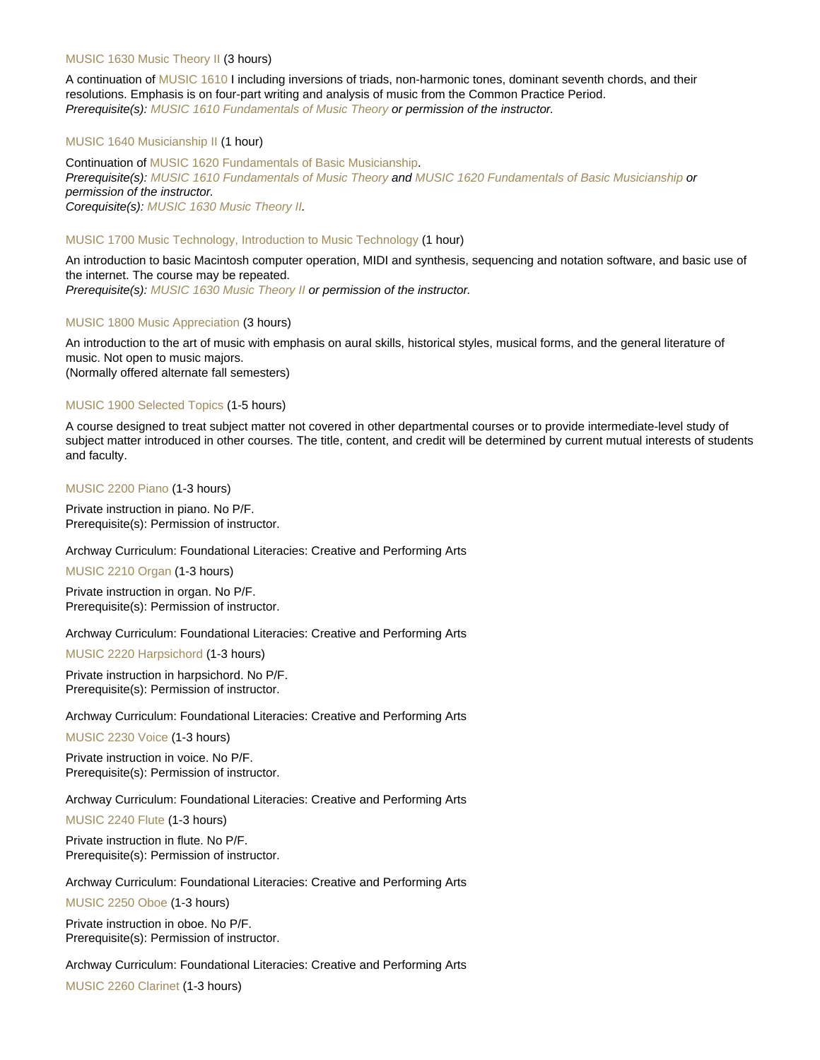#### [MUSIC 1630 Music Theory II](https://catalog.nebrwesleyan.edu/node/306830) (3 hours)

A continuation of [MUSIC 1610](https://catalog.nebrwesleyan.edu/cc/2021-2022/course/359999) I including inversions of triads, non-harmonic tones, dominant seventh chords, and their resolutions. Emphasis is on four-part writing and analysis of music from the Common Practice Period. Prerequisite(s): [MUSIC 1610 Fundamentals of Music Theory](https://catalog.nebrwesleyan.edu/cc/2021-2022/course/359999) or permission of the instructor.

#### [MUSIC 1640 Musicianship II](https://catalog.nebrwesleyan.edu/node/306831) (1 hour)

Continuation of [MUSIC 1620 Fundamentals of Basic Musicianship](https://catalog.nebrwesleyan.edu/cc/2021-2022/course/360000). Prerequisite(s): [MUSIC 1610 Fundamentals of Music Theory](https://catalog.nebrwesleyan.edu/cc/2021-2022/course/359999) and [MUSIC 1620 Fundamentals of Basic Musicianship](https://catalog.nebrwesleyan.edu/cc/2021-2022/course/360000) or permission of the instructor. Corequisite(s): [MUSIC 1630 Music Theory II.](https://catalog.nebrwesleyan.edu/cc/2021-2022/course/360001)

#### [MUSIC 1700 Music Technology, Introduction to Music Technology](https://catalog.nebrwesleyan.edu/node/306832) (1 hour)

An introduction to basic Macintosh computer operation, MIDI and synthesis, sequencing and notation software, and basic use of the internet. The course may be repeated.

Prerequisite(s): [MUSIC 1630 Music Theory II](https://catalog.nebrwesleyan.edu/cc/2021-2022/course/360001) or permission of the instructor.

#### [MUSIC 1800 Music Appreciation](https://catalog.nebrwesleyan.edu/node/308746) (3 hours)

An introduction to the art of music with emphasis on aural skills, historical styles, musical forms, and the general literature of music. Not open to music majors. (Normally offered alternate fall semesters)

#### [MUSIC 1900 Selected Topics](https://catalog.nebrwesleyan.edu/node/306833) (1-5 hours)

A course designed to treat subject matter not covered in other departmental courses or to provide intermediate-level study of subject matter introduced in other courses. The title, content, and credit will be determined by current mutual interests of students and faculty.

[MUSIC 2200 Piano](https://catalog.nebrwesleyan.edu/node/306834) (1-3 hours)

Private instruction in piano. No P/F. Prerequisite(s): Permission of instructor.

#### Archway Curriculum: Foundational Literacies: Creative and Performing Arts

[MUSIC 2210 Organ](https://catalog.nebrwesleyan.edu/node/306835) (1-3 hours)

Private instruction in organ. No P/F. Prerequisite(s): Permission of instructor.

#### Archway Curriculum: Foundational Literacies: Creative and Performing Arts

[MUSIC 2220 Harpsichord](https://catalog.nebrwesleyan.edu/node/306836) (1-3 hours)

Private instruction in harpsichord. No P/F. Prerequisite(s): Permission of instructor.

Archway Curriculum: Foundational Literacies: Creative and Performing Arts

[MUSIC 2230 Voice](https://catalog.nebrwesleyan.edu/node/306837) (1-3 hours)

Private instruction in voice. No P/F. Prerequisite(s): Permission of instructor.

Archway Curriculum: Foundational Literacies: Creative and Performing Arts

[MUSIC 2240 Flute](https://catalog.nebrwesleyan.edu/node/306838) (1-3 hours)

Private instruction in flute. No P/F. Prerequisite(s): Permission of instructor.

Archway Curriculum: Foundational Literacies: Creative and Performing Arts

[MUSIC 2250 Oboe](https://catalog.nebrwesleyan.edu/node/306839) (1-3 hours)

Private instruction in oboe. No P/F. Prerequisite(s): Permission of instructor.

Archway Curriculum: Foundational Literacies: Creative and Performing Arts [MUSIC 2260 Clarinet](https://catalog.nebrwesleyan.edu/node/306840) (1-3 hours)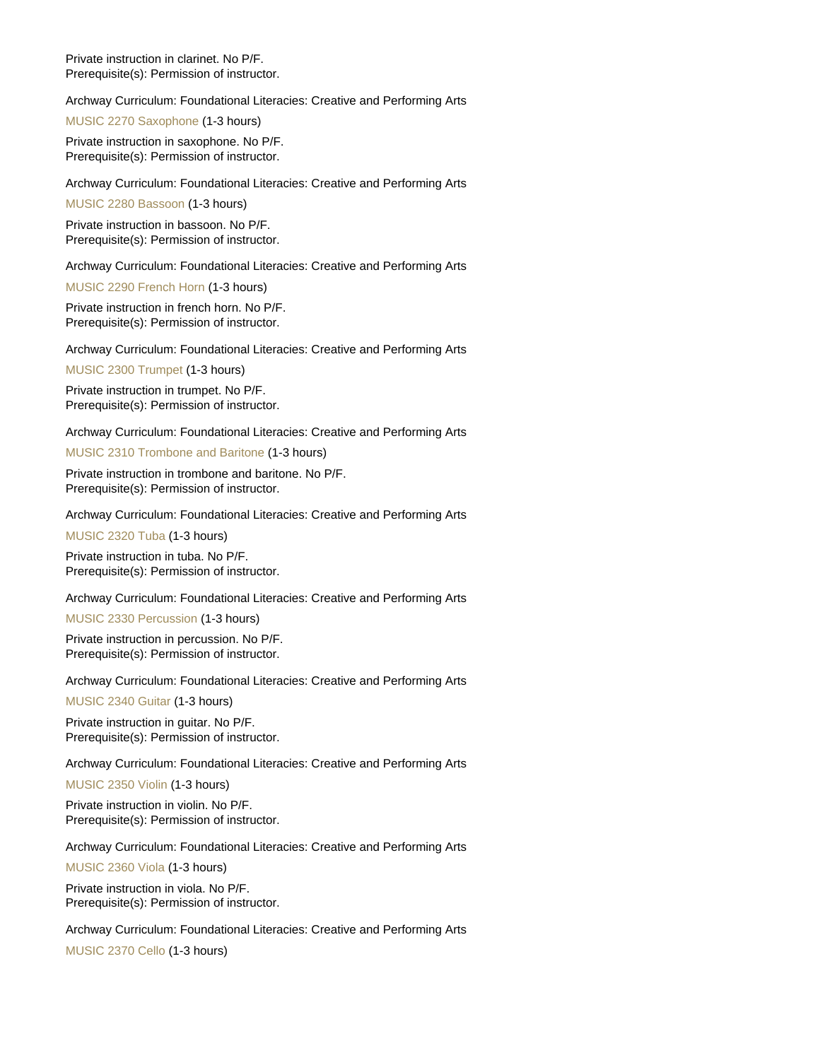Private instruction in clarinet. No P/F. Prerequisite(s): Permission of instructor.

Archway Curriculum: Foundational Literacies: Creative and Performing Arts

[MUSIC 2270 Saxophone](https://catalog.nebrwesleyan.edu/node/306841) (1-3 hours)

Private instruction in saxophone. No P/F. Prerequisite(s): Permission of instructor.

Archway Curriculum: Foundational Literacies: Creative and Performing Arts

[MUSIC 2280 Bassoon](https://catalog.nebrwesleyan.edu/node/306842) (1-3 hours)

Private instruction in bassoon. No P/F. Prerequisite(s): Permission of instructor.

Archway Curriculum: Foundational Literacies: Creative and Performing Arts

[MUSIC 2290 French Horn](https://catalog.nebrwesleyan.edu/node/306843) (1-3 hours)

Private instruction in french horn. No P/F. Prerequisite(s): Permission of instructor.

Archway Curriculum: Foundational Literacies: Creative and Performing Arts

[MUSIC 2300 Trumpet](https://catalog.nebrwesleyan.edu/node/306844) (1-3 hours)

Private instruction in trumpet. No P/F. Prerequisite(s): Permission of instructor.

Archway Curriculum: Foundational Literacies: Creative and Performing Arts

[MUSIC 2310 Trombone and Baritone](https://catalog.nebrwesleyan.edu/node/306845) (1-3 hours)

Private instruction in trombone and baritone. No P/F. Prerequisite(s): Permission of instructor.

Archway Curriculum: Foundational Literacies: Creative and Performing Arts

[MUSIC 2320 Tuba](https://catalog.nebrwesleyan.edu/node/306846) (1-3 hours)

Private instruction in tuba. No P/F. Prerequisite(s): Permission of instructor.

Archway Curriculum: Foundational Literacies: Creative and Performing Arts

[MUSIC 2330 Percussion](https://catalog.nebrwesleyan.edu/node/306847) (1-3 hours)

Private instruction in percussion. No P/F. Prerequisite(s): Permission of instructor.

Archway Curriculum: Foundational Literacies: Creative and Performing Arts

[MUSIC 2340 Guitar](https://catalog.nebrwesleyan.edu/node/306848) (1-3 hours)

Private instruction in guitar. No P/F. Prerequisite(s): Permission of instructor.

Archway Curriculum: Foundational Literacies: Creative and Performing Arts

[MUSIC 2350 Violin](https://catalog.nebrwesleyan.edu/node/306849) (1-3 hours)

Private instruction in violin. No P/F. Prerequisite(s): Permission of instructor.

Archway Curriculum: Foundational Literacies: Creative and Performing Arts

[MUSIC 2360 Viola](https://catalog.nebrwesleyan.edu/node/306850) (1-3 hours)

Private instruction in viola. No P/F. Prerequisite(s): Permission of instructor.

Archway Curriculum: Foundational Literacies: Creative and Performing Arts

[MUSIC 2370 Cello](https://catalog.nebrwesleyan.edu/node/306851) (1-3 hours)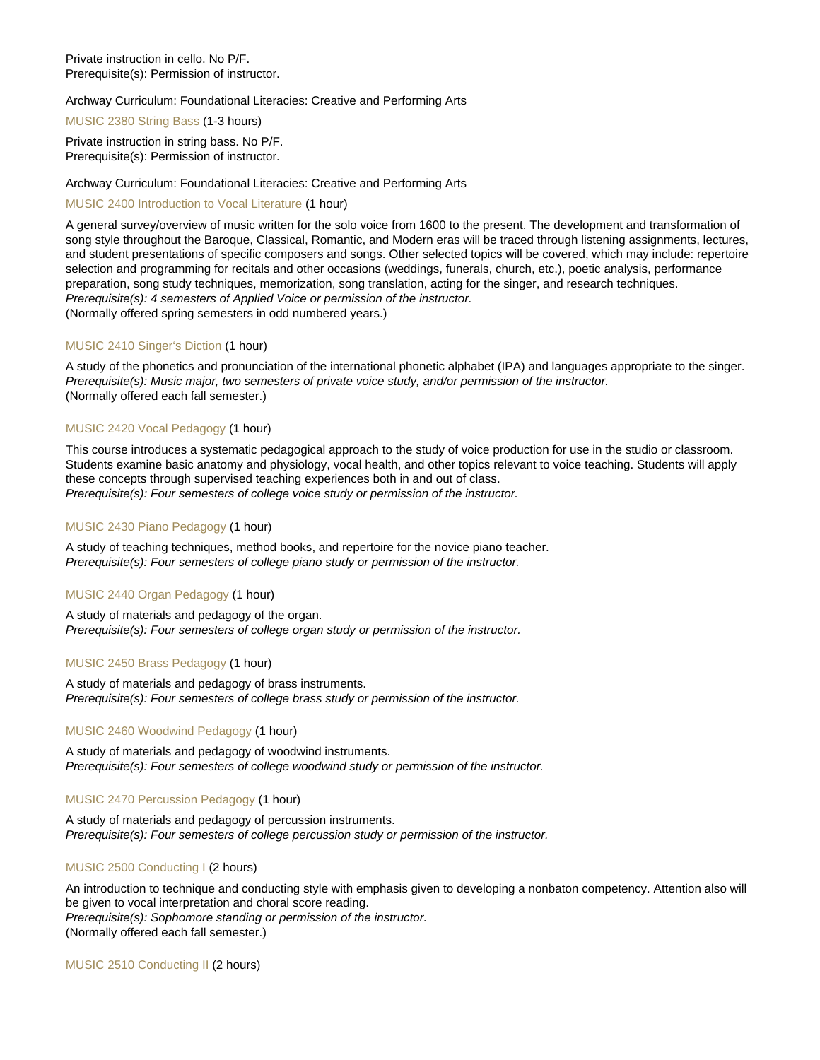Private instruction in cello. No P/F. Prerequisite(s): Permission of instructor.

#### Archway Curriculum: Foundational Literacies: Creative and Performing Arts

[MUSIC 2380 String Bass](https://catalog.nebrwesleyan.edu/node/306852) (1-3 hours)

Private instruction in string bass. No P/F. Prerequisite(s): Permission of instructor.

#### Archway Curriculum: Foundational Literacies: Creative and Performing Arts

#### [MUSIC 2400 Introduction to Vocal Literature](https://catalog.nebrwesleyan.edu/node/306853) (1 hour)

A general survey/overview of music written for the solo voice from 1600 to the present. The development and transformation of song style throughout the Baroque, Classical, Romantic, and Modern eras will be traced through listening assignments, lectures, and student presentations of specific composers and songs. Other selected topics will be covered, which may include: repertoire selection and programming for recitals and other occasions (weddings, funerals, church, etc.), poetic analysis, performance preparation, song study techniques, memorization, song translation, acting for the singer, and research techniques. Prerequisite(s): 4 semesters of Applied Voice or permission of the instructor. (Normally offered spring semesters in odd numbered years.)

#### [MUSIC 2410 Singer's Diction](https://catalog.nebrwesleyan.edu/node/306854) (1 hour)

A study of the phonetics and pronunciation of the international phonetic alphabet (IPA) and languages appropriate to the singer. Prerequisite(s): Music major, two semesters of private voice study, and/or permission of the instructor. (Normally offered each fall semester.)

#### [MUSIC 2420 Vocal Pedagogy](https://catalog.nebrwesleyan.edu/node/306855) (1 hour)

This course introduces a systematic pedagogical approach to the study of voice production for use in the studio or classroom. Students examine basic anatomy and physiology, vocal health, and other topics relevant to voice teaching. Students will apply these concepts through supervised teaching experiences both in and out of class. Prerequisite(s): Four semesters of college voice study or permission of the instructor.

#### [MUSIC 2430 Piano Pedagogy](https://catalog.nebrwesleyan.edu/node/306856) (1 hour)

A study of teaching techniques, method books, and repertoire for the novice piano teacher. Prerequisite(s): Four semesters of college piano study or permission of the instructor.

#### [MUSIC 2440 Organ Pedagogy](https://catalog.nebrwesleyan.edu/node/306857) (1 hour)

A study of materials and pedagogy of the organ. Prerequisite(s): Four semesters of college organ study or permission of the instructor.

#### [MUSIC 2450 Brass Pedagogy](https://catalog.nebrwesleyan.edu/node/306858) (1 hour)

A study of materials and pedagogy of brass instruments. Prerequisite(s): Four semesters of college brass study or permission of the instructor.

#### [MUSIC 2460 Woodwind Pedagogy](https://catalog.nebrwesleyan.edu/node/306859) (1 hour)

A study of materials and pedagogy of woodwind instruments. Prerequisite(s): Four semesters of college woodwind study or permission of the instructor.

#### [MUSIC 2470 Percussion Pedagogy](https://catalog.nebrwesleyan.edu/node/306860) (1 hour)

A study of materials and pedagogy of percussion instruments. Prerequisite(s): Four semesters of college percussion study or permission of the instructor.

#### [MUSIC 2500 Conducting I](https://catalog.nebrwesleyan.edu/node/306861) (2 hours)

An introduction to technique and conducting style with emphasis given to developing a nonbaton competency. Attention also will be given to vocal interpretation and choral score reading. Prerequisite(s): Sophomore standing or permission of the instructor. (Normally offered each fall semester.)

[MUSIC 2510 Conducting II](https://catalog.nebrwesleyan.edu/node/306862) (2 hours)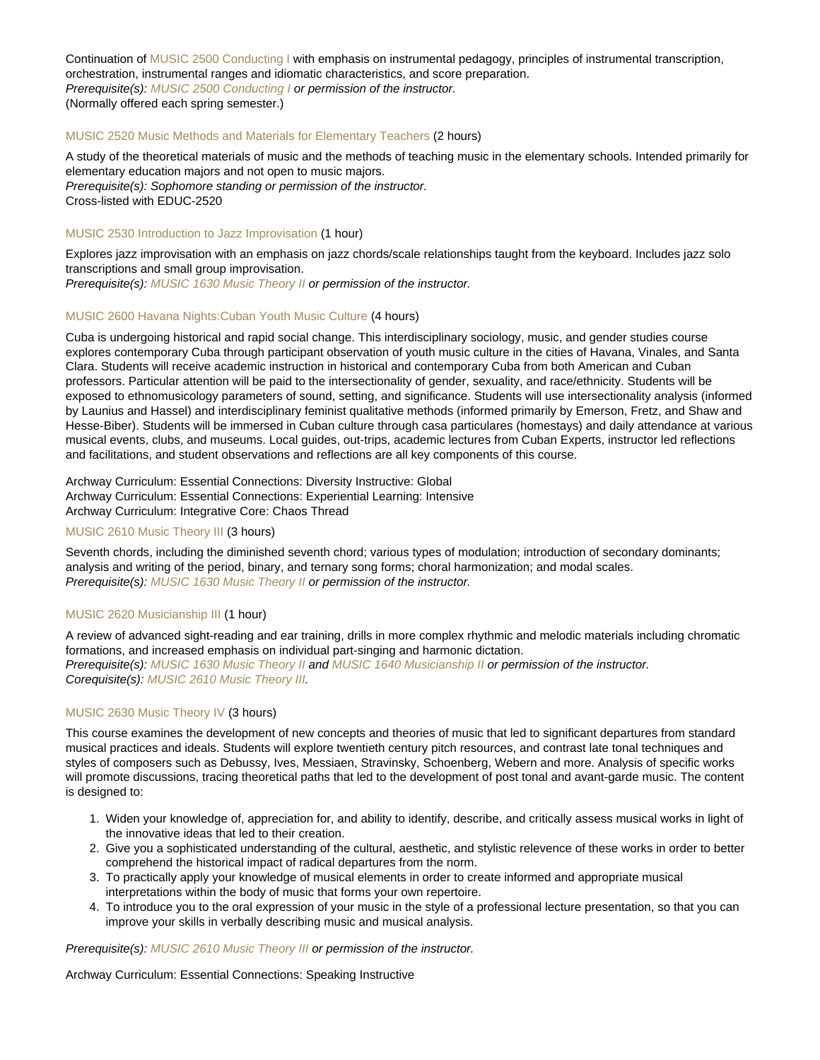Continuation of [MUSIC 2500 Conducting I](https://catalog.nebrwesleyan.edu/cc/2021-2022/course/360032) with emphasis on instrumental pedagogy, principles of instrumental transcription, orchestration, instrumental ranges and idiomatic characteristics, and score preparation. Prerequisite(s): [MUSIC 2500 Conducting I](https://catalog.nebrwesleyan.edu/cc/2021-2022/course/360032) or permission of the instructor. (Normally offered each spring semester.)

#### [MUSIC 2520 Music Methods and Materials for Elementary Teachers](https://catalog.nebrwesleyan.edu/node/306863) (2 hours)

A study of the theoretical materials of music and the methods of teaching music in the elementary schools. Intended primarily for elementary education majors and not open to music majors. Prerequisite(s): Sophomore standing or permission of the instructor. Cross-listed with EDUC-2520

#### [MUSIC 2530 Introduction to Jazz Improvisation](https://catalog.nebrwesleyan.edu/node/306864) (1 hour)

Explores jazz improvisation with an emphasis on jazz chords/scale relationships taught from the keyboard. Includes jazz solo transcriptions and small group improvisation.

Prerequisite(s): [MUSIC 1630 Music Theory II](https://catalog.nebrwesleyan.edu/cc/2021-2022/course/360001) or permission of the instructor.

#### [MUSIC 2600 Havana Nights:Cuban Youth Music Culture](https://catalog.nebrwesleyan.edu/node/310184) (4 hours)

Cuba is undergoing historical and rapid social change. This interdisciplinary sociology, music, and gender studies course explores contemporary Cuba through participant observation of youth music culture in the cities of Havana, Vinales, and Santa Clara. Students will receive academic instruction in historical and contemporary Cuba from both American and Cuban professors. Particular attention will be paid to the intersectionality of gender, sexuality, and race/ethnicity. Students will be exposed to ethnomusicology parameters of sound, setting, and significance. Students will use intersectionality analysis (informed by Launius and Hassel) and interdisciplinary feminist qualitative methods (informed primarily by Emerson, Fretz, and Shaw and Hesse-Biber). Students will be immersed in Cuban culture through casa particulares (homestays) and daily attendance at various musical events, clubs, and museums. Local guides, out-trips, academic lectures from Cuban Experts, instructor led reflections and facilitations, and student observations and reflections are all key components of this course.

Archway Curriculum: Essential Connections: Diversity Instructive: Global Archway Curriculum: Essential Connections: Experiential Learning: Intensive Archway Curriculum: Integrative Core: Chaos Thread

#### [MUSIC 2610 Music Theory III](https://catalog.nebrwesleyan.edu/node/306865) (3 hours)

Seventh chords, including the diminished seventh chord; various types of modulation; introduction of secondary dominants; analysis and writing of the period, binary, and ternary song forms; choral harmonization; and modal scales. Prerequisite(s): [MUSIC 1630 Music Theory II](https://catalog.nebrwesleyan.edu/cc/2021-2022/course/360001) or permission of the instructor.

#### [MUSIC 2620 Musicianship III](https://catalog.nebrwesleyan.edu/node/306866) (1 hour)

A review of advanced sight-reading and ear training, drills in more complex rhythmic and melodic materials including chromatic formations, and increased emphasis on individual part-singing and harmonic dictation. Prerequisite(s): [MUSIC 1630 Music Theory II](https://catalog.nebrwesleyan.edu/cc/2021-2022/course/360001) and [MUSIC 1640 Musicianship II](https://catalog.nebrwesleyan.edu/cc/2021-2022/course/360002) or permission of the instructor. Corequisite(s): [MUSIC 2610 Music Theory III](https://catalog.nebrwesleyan.edu/cc/2021-2022/course/360036).

#### [MUSIC 2630 Music Theory IV](https://catalog.nebrwesleyan.edu/node/306867) (3 hours)

This course examines the development of new concepts and theories of music that led to significant departures from standard musical practices and ideals. Students will explore twentieth century pitch resources, and contrast late tonal techniques and styles of composers such as Debussy, Ives, Messiaen, Stravinsky, Schoenberg, Webern and more. Analysis of specific works will promote discussions, tracing theoretical paths that led to the development of post tonal and avant-garde music. The content is designed to:

- 1. Widen your knowledge of, appreciation for, and ability to identify, describe, and critically assess musical works in light of the innovative ideas that led to their creation.
- 2. Give you a sophisticated understanding of the cultural, aesthetic, and stylistic relevence of these works in order to better comprehend the historical impact of radical departures from the norm.
- 3. To practically apply your knowledge of musical elements in order to create informed and appropriate musical interpretations within the body of music that forms your own repertoire.
- 4. To introduce you to the oral expression of your music in the style of a professional lecture presentation, so that you can improve your skills in verbally describing music and musical analysis.

Prerequisite(s): [MUSIC 2610 Music Theory III](https://catalog.nebrwesleyan.edu/cc/2021-2022/course/360036) or permission of the instructor.

Archway Curriculum: Essential Connections: Speaking Instructive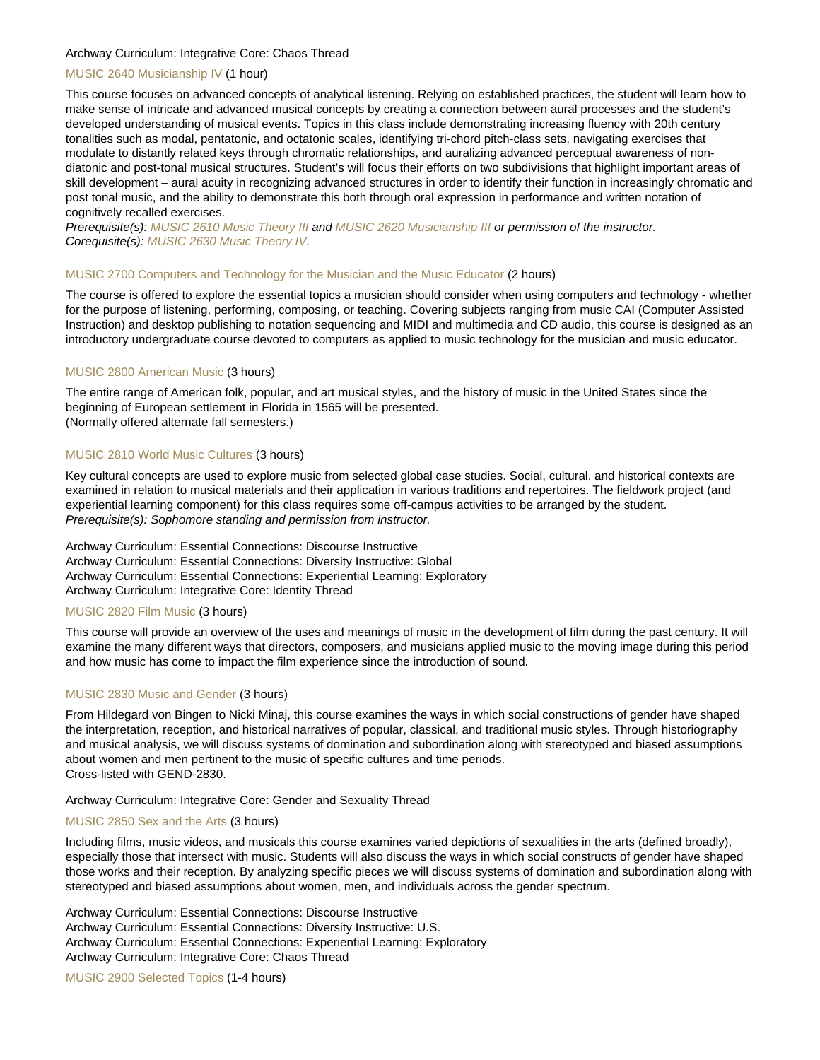#### Archway Curriculum: Integrative Core: Chaos Thread

#### [MUSIC 2640 Musicianship IV](https://catalog.nebrwesleyan.edu/node/310252) (1 hour)

This course focuses on advanced concepts of analytical listening. Relying on established practices, the student will learn how to make sense of intricate and advanced musical concepts by creating a connection between aural processes and the student's developed understanding of musical events. Topics in this class include demonstrating increasing fluency with 20th century tonalities such as modal, pentatonic, and octatonic scales, identifying tri-chord pitch-class sets, navigating exercises that modulate to distantly related keys through chromatic relationships, and auralizing advanced perceptual awareness of nondiatonic and post-tonal musical structures. Student's will focus their efforts on two subdivisions that highlight important areas of skill development – aural acuity in recognizing advanced structures in order to identify their function in increasingly chromatic and post tonal music, and the ability to demonstrate this both through oral expression in performance and written notation of cognitively recalled exercises.

Prerequisite(s): [MUSIC 2610 Music Theory III](https://catalog.nebrwesleyan.edu/cc/2021-2022/course/360036) and [MUSIC 2620 Musicianship III](https://catalog.nebrwesleyan.edu/cc/2021-2022/course/360037) or permission of the instructor. Corequisite(s): [MUSIC 2630 Music Theory IV](https://catalog.nebrwesleyan.edu/cc/2021-2022/course/360038).

#### [MUSIC 2700 Computers and Technology for the Musician and the Music Educator](https://catalog.nebrwesleyan.edu/node/306868) (2 hours)

The course is offered to explore the essential topics a musician should consider when using computers and technology - whether for the purpose of listening, performing, composing, or teaching. Covering subjects ranging from music CAI (Computer Assisted Instruction) and desktop publishing to notation sequencing and MIDI and multimedia and CD audio, this course is designed as an introductory undergraduate course devoted to computers as applied to music technology for the musician and music educator.

#### [MUSIC 2800 American Music](https://catalog.nebrwesleyan.edu/node/306869) (3 hours)

The entire range of American folk, popular, and art musical styles, and the history of music in the United States since the beginning of European settlement in Florida in 1565 will be presented. (Normally offered alternate fall semesters.)

#### [MUSIC 2810 World Music Cultures](https://catalog.nebrwesleyan.edu/node/306870) (3 hours)

Key cultural concepts are used to explore music from selected global case studies. Social, cultural, and historical contexts are examined in relation to musical materials and their application in various traditions and repertoires. The fieldwork project (and experiential learning component) for this class requires some off-campus activities to be arranged by the student. Prerequisite(s): Sophomore standing and permission from instructor.

Archway Curriculum: Essential Connections: Discourse Instructive Archway Curriculum: Essential Connections: Diversity Instructive: Global Archway Curriculum: Essential Connections: Experiential Learning: Exploratory Archway Curriculum: Integrative Core: Identity Thread

#### [MUSIC 2820 Film Music](https://catalog.nebrwesleyan.edu/node/306871) (3 hours)

This course will provide an overview of the uses and meanings of music in the development of film during the past century. It will examine the many different ways that directors, composers, and musicians applied music to the moving image during this period and how music has come to impact the film experience since the introduction of sound.

#### [MUSIC 2830 Music and Gender](https://catalog.nebrwesleyan.edu/node/306872) (3 hours)

From Hildegard von Bingen to Nicki Minaj, this course examines the ways in which social constructions of gender have shaped the interpretation, reception, and historical narratives of popular, classical, and traditional music styles. Through historiography and musical analysis, we will discuss systems of domination and subordination along with stereotyped and biased assumptions about women and men pertinent to the music of specific cultures and time periods. Cross-listed with GEND-2830.

#### Archway Curriculum: Integrative Core: Gender and Sexuality Thread

#### [MUSIC 2850 Sex and the Arts](https://catalog.nebrwesleyan.edu/node/309329) (3 hours)

Including films, music videos, and musicals this course examines varied depictions of sexualities in the arts (defined broadly), especially those that intersect with music. Students will also discuss the ways in which social constructs of gender have shaped those works and their reception. By analyzing specific pieces we will discuss systems of domination and subordination along with stereotyped and biased assumptions about women, men, and individuals across the gender spectrum.

Archway Curriculum: Essential Connections: Discourse Instructive Archway Curriculum: Essential Connections: Diversity Instructive: U.S. Archway Curriculum: Essential Connections: Experiential Learning: Exploratory Archway Curriculum: Integrative Core: Chaos Thread

[MUSIC 2900 Selected Topics](https://catalog.nebrwesleyan.edu/node/308401) (1-4 hours)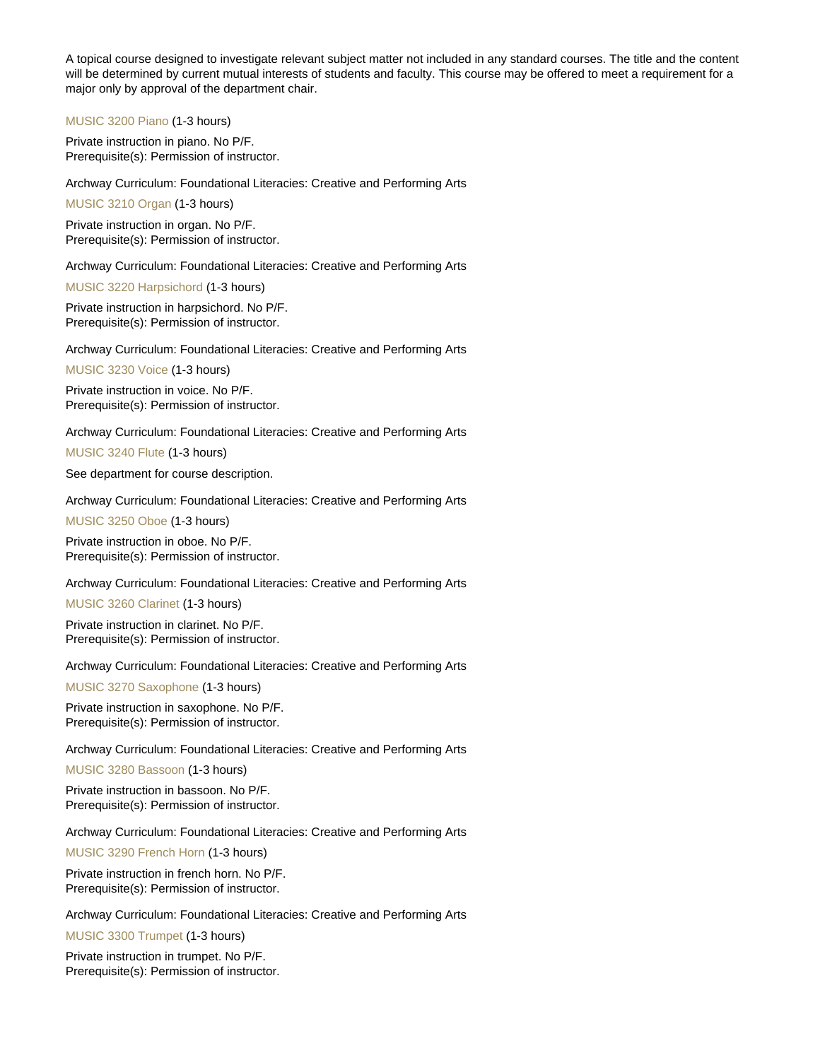A topical course designed to investigate relevant subject matter not included in any standard courses. The title and the content will be determined by current mutual interests of students and faculty. This course may be offered to meet a requirement for a major only by approval of the department chair.

[MUSIC 3200 Piano](https://catalog.nebrwesleyan.edu/node/306874) (1-3 hours)

Private instruction in piano. No P/F. Prerequisite(s): Permission of instructor.

Archway Curriculum: Foundational Literacies: Creative and Performing Arts

[MUSIC 3210 Organ](https://catalog.nebrwesleyan.edu/node/306875) (1-3 hours)

Private instruction in organ. No P/F. Prerequisite(s): Permission of instructor.

Archway Curriculum: Foundational Literacies: Creative and Performing Arts

[MUSIC 3220 Harpsichord](https://catalog.nebrwesleyan.edu/node/306876) (1-3 hours)

Private instruction in harpsichord. No P/F. Prerequisite(s): Permission of instructor.

Archway Curriculum: Foundational Literacies: Creative and Performing Arts

[MUSIC 3230 Voice](https://catalog.nebrwesleyan.edu/node/306877) (1-3 hours)

Private instruction in voice. No P/F. Prerequisite(s): Permission of instructor.

Archway Curriculum: Foundational Literacies: Creative and Performing Arts

[MUSIC 3240 Flute](https://catalog.nebrwesleyan.edu/node/306878) (1-3 hours)

See department for course description.

Archway Curriculum: Foundational Literacies: Creative and Performing Arts

[MUSIC 3250 Oboe](https://catalog.nebrwesleyan.edu/node/306879) (1-3 hours)

Private instruction in oboe. No P/F. Prerequisite(s): Permission of instructor.

Archway Curriculum: Foundational Literacies: Creative and Performing Arts

[MUSIC 3260 Clarinet](https://catalog.nebrwesleyan.edu/node/306880) (1-3 hours)

Private instruction in clarinet. No P/F. Prerequisite(s): Permission of instructor.

Archway Curriculum: Foundational Literacies: Creative and Performing Arts

[MUSIC 3270 Saxophone](https://catalog.nebrwesleyan.edu/node/306881) (1-3 hours)

Private instruction in saxophone. No P/F. Prerequisite(s): Permission of instructor.

Archway Curriculum: Foundational Literacies: Creative and Performing Arts

[MUSIC 3280 Bassoon](https://catalog.nebrwesleyan.edu/node/306882) (1-3 hours)

Private instruction in bassoon. No P/F. Prerequisite(s): Permission of instructor.

Archway Curriculum: Foundational Literacies: Creative and Performing Arts

[MUSIC 3290 French Horn](https://catalog.nebrwesleyan.edu/node/306883) (1-3 hours)

Private instruction in french horn. No P/F. Prerequisite(s): Permission of instructor.

Archway Curriculum: Foundational Literacies: Creative and Performing Arts

[MUSIC 3300 Trumpet](https://catalog.nebrwesleyan.edu/node/306884) (1-3 hours)

Private instruction in trumpet. No P/F. Prerequisite(s): Permission of instructor.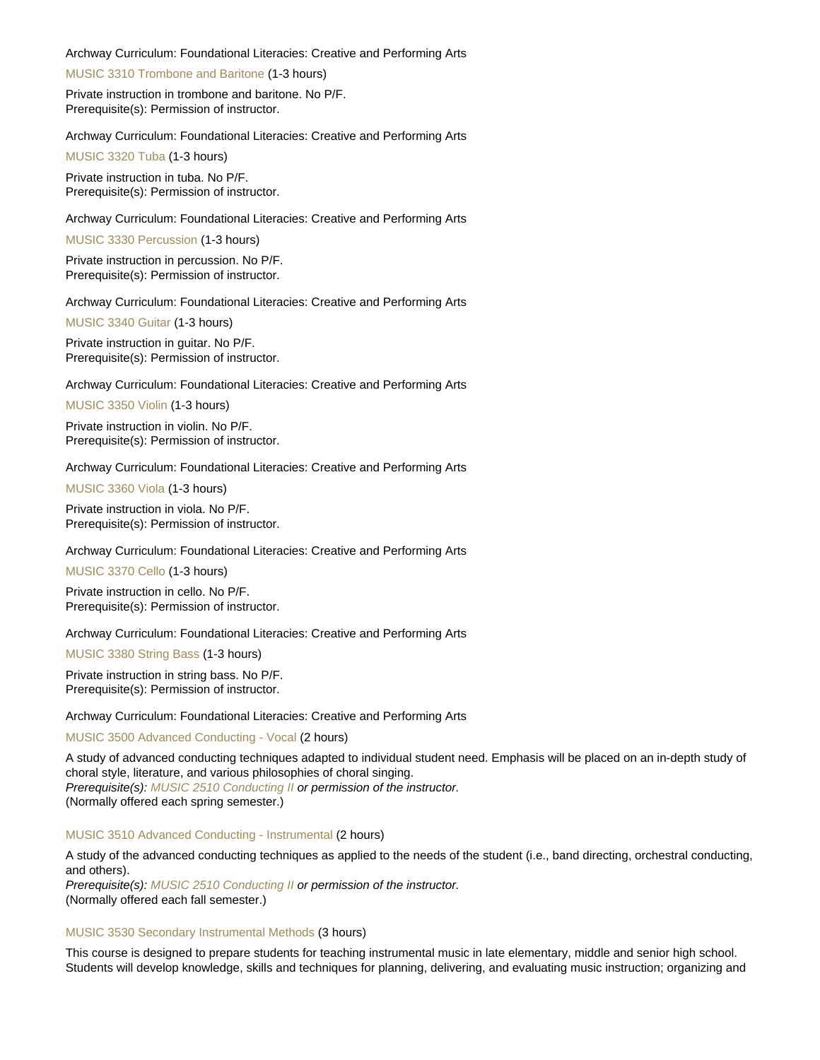#### Archway Curriculum: Foundational Literacies: Creative and Performing Arts

[MUSIC 3310 Trombone and Baritone](https://catalog.nebrwesleyan.edu/node/306885) (1-3 hours)

Private instruction in trombone and baritone. No P/F. Prerequisite(s): Permission of instructor.

Archway Curriculum: Foundational Literacies: Creative and Performing Arts

[MUSIC 3320 Tuba](https://catalog.nebrwesleyan.edu/node/306886) (1-3 hours)

Private instruction in tuba. No P/F. Prerequisite(s): Permission of instructor.

Archway Curriculum: Foundational Literacies: Creative and Performing Arts

[MUSIC 3330 Percussion](https://catalog.nebrwesleyan.edu/node/306887) (1-3 hours)

Private instruction in percussion. No P/F. Prerequisite(s): Permission of instructor.

Archway Curriculum: Foundational Literacies: Creative and Performing Arts

[MUSIC 3340 Guitar](https://catalog.nebrwesleyan.edu/node/306888) (1-3 hours)

Private instruction in guitar. No P/F. Prerequisite(s): Permission of instructor.

Archway Curriculum: Foundational Literacies: Creative and Performing Arts

[MUSIC 3350 Violin](https://catalog.nebrwesleyan.edu/node/306889) (1-3 hours)

Private instruction in violin. No P/F. Prerequisite(s): Permission of instructor.

Archway Curriculum: Foundational Literacies: Creative and Performing Arts

[MUSIC 3360 Viola](https://catalog.nebrwesleyan.edu/node/306890) (1-3 hours)

Private instruction in viola. No P/F. Prerequisite(s): Permission of instructor.

Archway Curriculum: Foundational Literacies: Creative and Performing Arts

[MUSIC 3370 Cello](https://catalog.nebrwesleyan.edu/node/306891) (1-3 hours)

Private instruction in cello. No P/F. Prerequisite(s): Permission of instructor.

Archway Curriculum: Foundational Literacies: Creative and Performing Arts

[MUSIC 3380 String Bass](https://catalog.nebrwesleyan.edu/node/306892) (1-3 hours)

Private instruction in string bass. No P/F. Prerequisite(s): Permission of instructor.

Archway Curriculum: Foundational Literacies: Creative and Performing Arts

[MUSIC 3500 Advanced Conducting - Vocal](https://catalog.nebrwesleyan.edu/node/306893) (2 hours)

A study of advanced conducting techniques adapted to individual student need. Emphasis will be placed on an in-depth study of choral style, literature, and various philosophies of choral singing.

Prerequisite(s): [MUSIC 2510 Conducting II](https://catalog.nebrwesleyan.edu/cc/2021-2022/course/360033) or permission of the instructor. (Normally offered each spring semester.)

#### [MUSIC 3510 Advanced Conducting - Instrumental](https://catalog.nebrwesleyan.edu/node/306894) (2 hours)

A study of the advanced conducting techniques as applied to the needs of the student (i.e., band directing, orchestral conducting, and others).

Prerequisite(s): [MUSIC 2510 Conducting II](https://catalog.nebrwesleyan.edu/cc/2021-2022/course/360033) or permission of the instructor. (Normally offered each fall semester.)

#### [MUSIC 3530 Secondary Instrumental Methods](https://catalog.nebrwesleyan.edu/node/306896) (3 hours)

This course is designed to prepare students for teaching instrumental music in late elementary, middle and senior high school. Students will develop knowledge, skills and techniques for planning, delivering, and evaluating music instruction; organizing and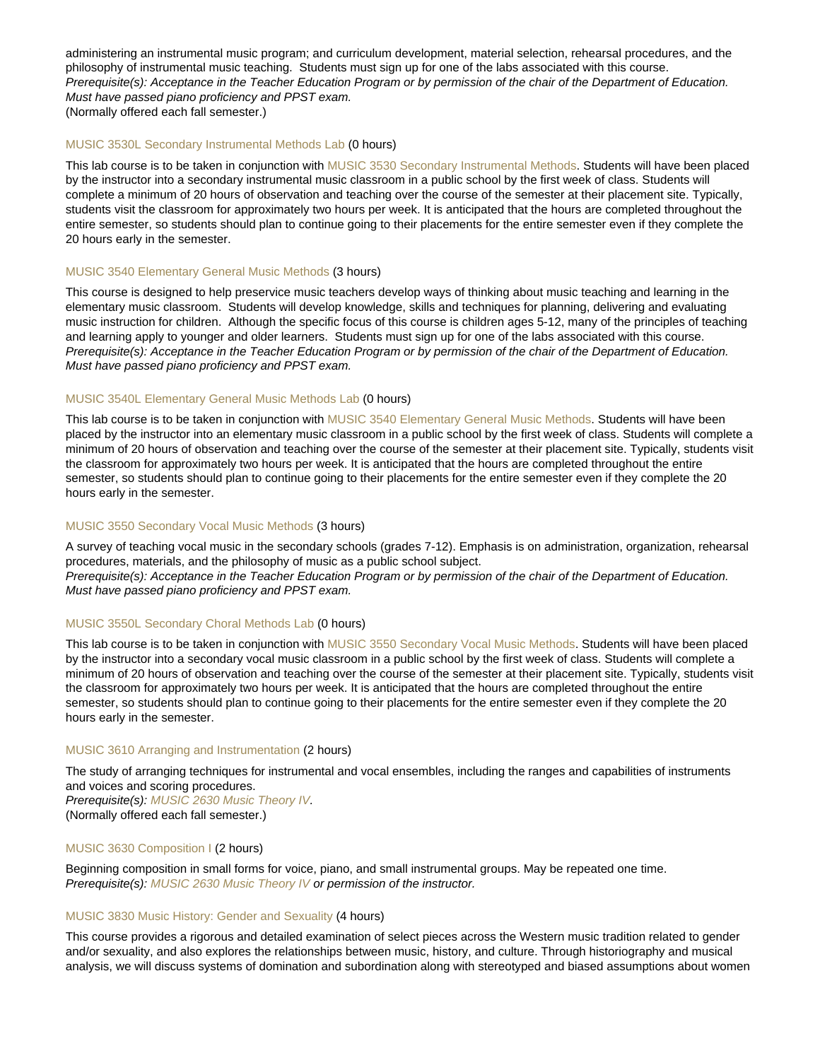administering an instrumental music program; and curriculum development, material selection, rehearsal procedures, and the philosophy of instrumental music teaching. Students must sign up for one of the labs associated with this course. Prerequisite(s): Acceptance in the Teacher Education Program or by permission of the chair of the Department of Education. Must have passed piano proficiency and PPST exam. (Normally offered each fall semester.)

#### [MUSIC 3530L Secondary Instrumental Methods Lab](https://catalog.nebrwesleyan.edu/node/310238) (0 hours)

This lab course is to be taken in conjunction with [MUSIC 3530 Secondary Instrumental Methods.](https://catalog.nebrwesleyan.edu/cc/2021-2022/course/360067) Students will have been placed by the instructor into a secondary instrumental music classroom in a public school by the first week of class. Students will complete a minimum of 20 hours of observation and teaching over the course of the semester at their placement site. Typically, students visit the classroom for approximately two hours per week. It is anticipated that the hours are completed throughout the entire semester, so students should plan to continue going to their placements for the entire semester even if they complete the 20 hours early in the semester.

#### [MUSIC 3540 Elementary General Music Methods](https://catalog.nebrwesleyan.edu/node/306897) (3 hours)

This course is designed to help preservice music teachers develop ways of thinking about music teaching and learning in the elementary music classroom. Students will develop knowledge, skills and techniques for planning, delivering and evaluating music instruction for children. Although the specific focus of this course is children ages 5-12, many of the principles of teaching and learning apply to younger and older learners. Students must sign up for one of the labs associated with this course. Prerequisite(s): Acceptance in the Teacher Education Program or by permission of the chair of the Department of Education. Must have passed piano proficiency and PPST exam.

#### [MUSIC 3540L Elementary General Music Methods Lab](https://catalog.nebrwesleyan.edu/node/310239) (0 hours)

This lab course is to be taken in conjunction with [MUSIC 3540 Elementary General Music Methods.](https://catalog.nebrwesleyan.edu/cc/2021-2022/course/360068) Students will have been placed by the instructor into an elementary music classroom in a public school by the first week of class. Students will complete a minimum of 20 hours of observation and teaching over the course of the semester at their placement site. Typically, students visit the classroom for approximately two hours per week. It is anticipated that the hours are completed throughout the entire semester, so students should plan to continue going to their placements for the entire semester even if they complete the 20 hours early in the semester.

#### [MUSIC 3550 Secondary Vocal Music Methods](https://catalog.nebrwesleyan.edu/node/306898) (3 hours)

A survey of teaching vocal music in the secondary schools (grades 7-12). Emphasis is on administration, organization, rehearsal procedures, materials, and the philosophy of music as a public school subject.

Prerequisite(s): Acceptance in the Teacher Education Program or by permission of the chair of the Department of Education. Must have passed piano proficiency and PPST exam.

## [MUSIC 3550L Secondary Choral Methods Lab](https://catalog.nebrwesleyan.edu/node/310240) (0 hours)

This lab course is to be taken in conjunction with [MUSIC 3550 Secondary Vocal Music Methods.](https://catalog.nebrwesleyan.edu/cc/2021-2022/course/360069) Students will have been placed by the instructor into a secondary vocal music classroom in a public school by the first week of class. Students will complete a minimum of 20 hours of observation and teaching over the course of the semester at their placement site. Typically, students visit the classroom for approximately two hours per week. It is anticipated that the hours are completed throughout the entire semester, so students should plan to continue going to their placements for the entire semester even if they complete the 20 hours early in the semester.

#### [MUSIC 3610 Arranging and Instrumentation](https://catalog.nebrwesleyan.edu/node/306899) (2 hours)

The study of arranging techniques for instrumental and vocal ensembles, including the ranges and capabilities of instruments and voices and scoring procedures.

Prerequisite(s): [MUSIC 2630 Music Theory IV.](https://catalog.nebrwesleyan.edu/cc/2021-2022/course/360038) (Normally offered each fall semester.)

#### [MUSIC 3630 Composition I](https://catalog.nebrwesleyan.edu/node/306901) (2 hours)

Beginning composition in small forms for voice, piano, and small instrumental groups. May be repeated one time. Prerequisite(s): [MUSIC 2630 Music Theory IV](https://catalog.nebrwesleyan.edu/cc/2021-2022/course/360038) or permission of the instructor.

#### [MUSIC 3830 Music History: Gender and Sexuality](https://catalog.nebrwesleyan.edu/node/306904) (4 hours)

This course provides a rigorous and detailed examination of select pieces across the Western music tradition related to gender and/or sexuality, and also explores the relationships between music, history, and culture. Through historiography and musical analysis, we will discuss systems of domination and subordination along with stereotyped and biased assumptions about women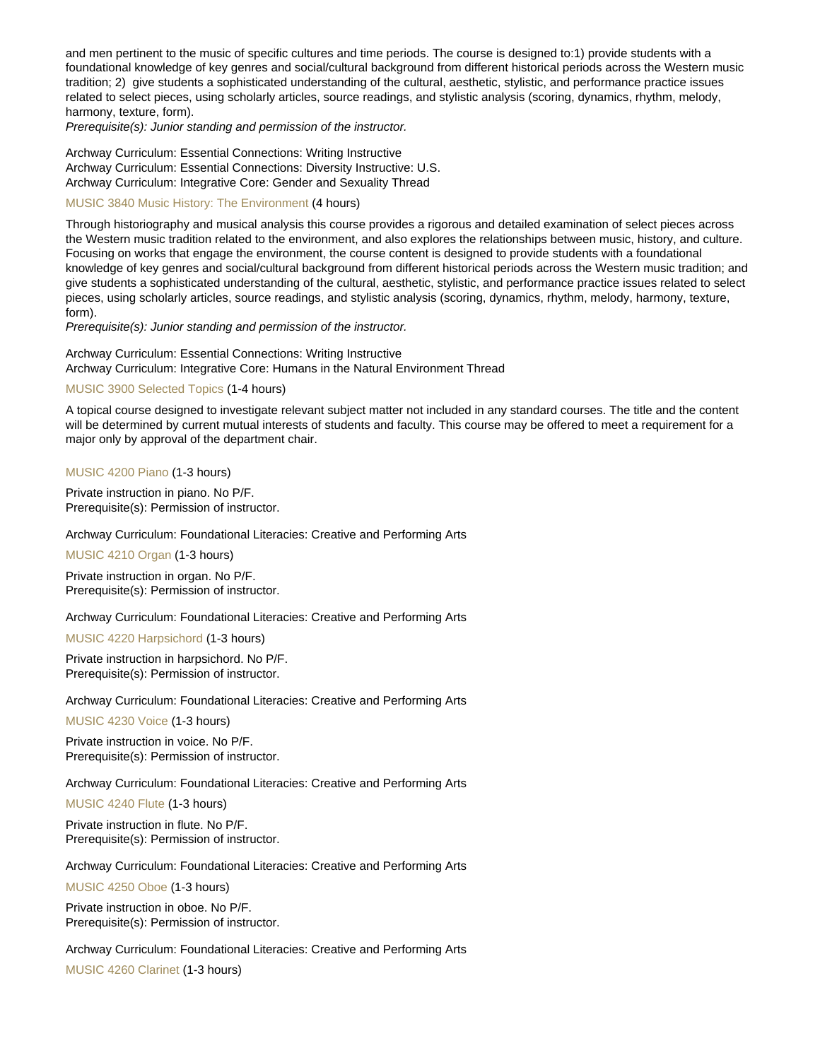and men pertinent to the music of specific cultures and time periods. The course is designed to:1) provide students with a foundational knowledge of key genres and social/cultural background from different historical periods across the Western music tradition; 2) give students a sophisticated understanding of the cultural, aesthetic, stylistic, and performance practice issues related to select pieces, using scholarly articles, source readings, and stylistic analysis (scoring, dynamics, rhythm, melody, harmony, texture, form).

Prerequisite(s): Junior standing and permission of the instructor.

Archway Curriculum: Essential Connections: Writing Instructive Archway Curriculum: Essential Connections: Diversity Instructive: U.S. Archway Curriculum: Integrative Core: Gender and Sexuality Thread

#### [MUSIC 3840 Music History: The Environment](https://catalog.nebrwesleyan.edu/node/307933) (4 hours)

Through historiography and musical analysis this course provides a rigorous and detailed examination of select pieces across the Western music tradition related to the environment, and also explores the relationships between music, history, and culture. Focusing on works that engage the environment, the course content is designed to provide students with a foundational knowledge of key genres and social/cultural background from different historical periods across the Western music tradition; and give students a sophisticated understanding of the cultural, aesthetic, stylistic, and performance practice issues related to select pieces, using scholarly articles, source readings, and stylistic analysis (scoring, dynamics, rhythm, melody, harmony, texture, form).

Prerequisite(s): Junior standing and permission of the instructor.

Archway Curriculum: Essential Connections: Writing Instructive Archway Curriculum: Integrative Core: Humans in the Natural Environment Thread

#### [MUSIC 3900 Selected Topics](https://catalog.nebrwesleyan.edu/node/308405) (1-4 hours)

A topical course designed to investigate relevant subject matter not included in any standard courses. The title and the content will be determined by current mutual interests of students and faculty. This course may be offered to meet a requirement for a major only by approval of the department chair.

[MUSIC 4200 Piano](https://catalog.nebrwesleyan.edu/node/307611) (1-3 hours)

Private instruction in piano. No P/F. Prerequisite(s): Permission of instructor.

Archway Curriculum: Foundational Literacies: Creative and Performing Arts

[MUSIC 4210 Organ](https://catalog.nebrwesleyan.edu/node/307612) (1-3 hours)

Private instruction in organ. No P/F. Prerequisite(s): Permission of instructor.

Archway Curriculum: Foundational Literacies: Creative and Performing Arts

[MUSIC 4220 Harpsichord](https://catalog.nebrwesleyan.edu/node/307613) (1-3 hours)

Private instruction in harpsichord. No P/F. Prerequisite(s): Permission of instructor.

Archway Curriculum: Foundational Literacies: Creative and Performing Arts

[MUSIC 4230 Voice](https://catalog.nebrwesleyan.edu/node/307614) (1-3 hours)

Private instruction in voice. No P/F. Prerequisite(s): Permission of instructor.

Archway Curriculum: Foundational Literacies: Creative and Performing Arts

[MUSIC 4240 Flute](https://catalog.nebrwesleyan.edu/node/307615) (1-3 hours)

Private instruction in flute. No P/F. Prerequisite(s): Permission of instructor.

Archway Curriculum: Foundational Literacies: Creative and Performing Arts

[MUSIC 4250 Oboe](https://catalog.nebrwesleyan.edu/node/307616) (1-3 hours)

Private instruction in oboe. No P/F. Prerequisite(s): Permission of instructor.

Archway Curriculum: Foundational Literacies: Creative and Performing Arts

[MUSIC 4260 Clarinet](https://catalog.nebrwesleyan.edu/node/307617) (1-3 hours)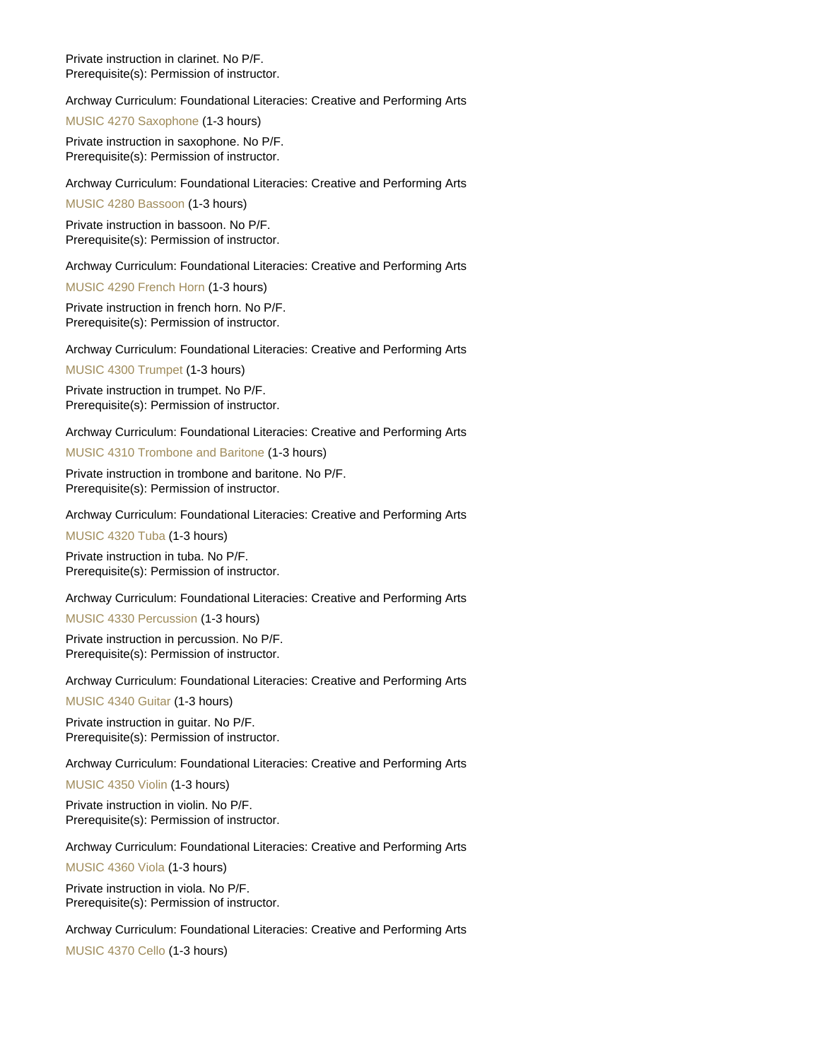Private instruction in clarinet. No P/F. Prerequisite(s): Permission of instructor.

Archway Curriculum: Foundational Literacies: Creative and Performing Arts

[MUSIC 4270 Saxophone](https://catalog.nebrwesleyan.edu/node/307618) (1-3 hours)

Private instruction in saxophone. No P/F. Prerequisite(s): Permission of instructor.

Archway Curriculum: Foundational Literacies: Creative and Performing Arts

[MUSIC 4280 Bassoon](https://catalog.nebrwesleyan.edu/node/307619) (1-3 hours)

Private instruction in bassoon. No P/F. Prerequisite(s): Permission of instructor.

Archway Curriculum: Foundational Literacies: Creative and Performing Arts

[MUSIC 4290 French Horn](https://catalog.nebrwesleyan.edu/node/307620) (1-3 hours)

Private instruction in french horn. No P/F. Prerequisite(s): Permission of instructor.

Archway Curriculum: Foundational Literacies: Creative and Performing Arts

[MUSIC 4300 Trumpet](https://catalog.nebrwesleyan.edu/node/307621) (1-3 hours)

Private instruction in trumpet. No P/F. Prerequisite(s): Permission of instructor.

Archway Curriculum: Foundational Literacies: Creative and Performing Arts

[MUSIC 4310 Trombone and Baritone](https://catalog.nebrwesleyan.edu/node/307622) (1-3 hours)

Private instruction in trombone and baritone. No P/F. Prerequisite(s): Permission of instructor.

Archway Curriculum: Foundational Literacies: Creative and Performing Arts

[MUSIC 4320 Tuba](https://catalog.nebrwesleyan.edu/node/307623) (1-3 hours)

Private instruction in tuba. No P/F. Prerequisite(s): Permission of instructor.

Archway Curriculum: Foundational Literacies: Creative and Performing Arts

[MUSIC 4330 Percussion](https://catalog.nebrwesleyan.edu/node/307624) (1-3 hours)

Private instruction in percussion. No P/F. Prerequisite(s): Permission of instructor.

Archway Curriculum: Foundational Literacies: Creative and Performing Arts

[MUSIC 4340 Guitar](https://catalog.nebrwesleyan.edu/node/307625) (1-3 hours)

Private instruction in guitar. No P/F. Prerequisite(s): Permission of instructor.

Archway Curriculum: Foundational Literacies: Creative and Performing Arts

[MUSIC 4350 Violin](https://catalog.nebrwesleyan.edu/node/307626) (1-3 hours)

Private instruction in violin. No P/F. Prerequisite(s): Permission of instructor.

Archway Curriculum: Foundational Literacies: Creative and Performing Arts

[MUSIC 4360 Viola](https://catalog.nebrwesleyan.edu/node/307627) (1-3 hours)

Private instruction in viola. No P/F. Prerequisite(s): Permission of instructor.

Archway Curriculum: Foundational Literacies: Creative and Performing Arts

[MUSIC 4370 Cello](https://catalog.nebrwesleyan.edu/node/307628) (1-3 hours)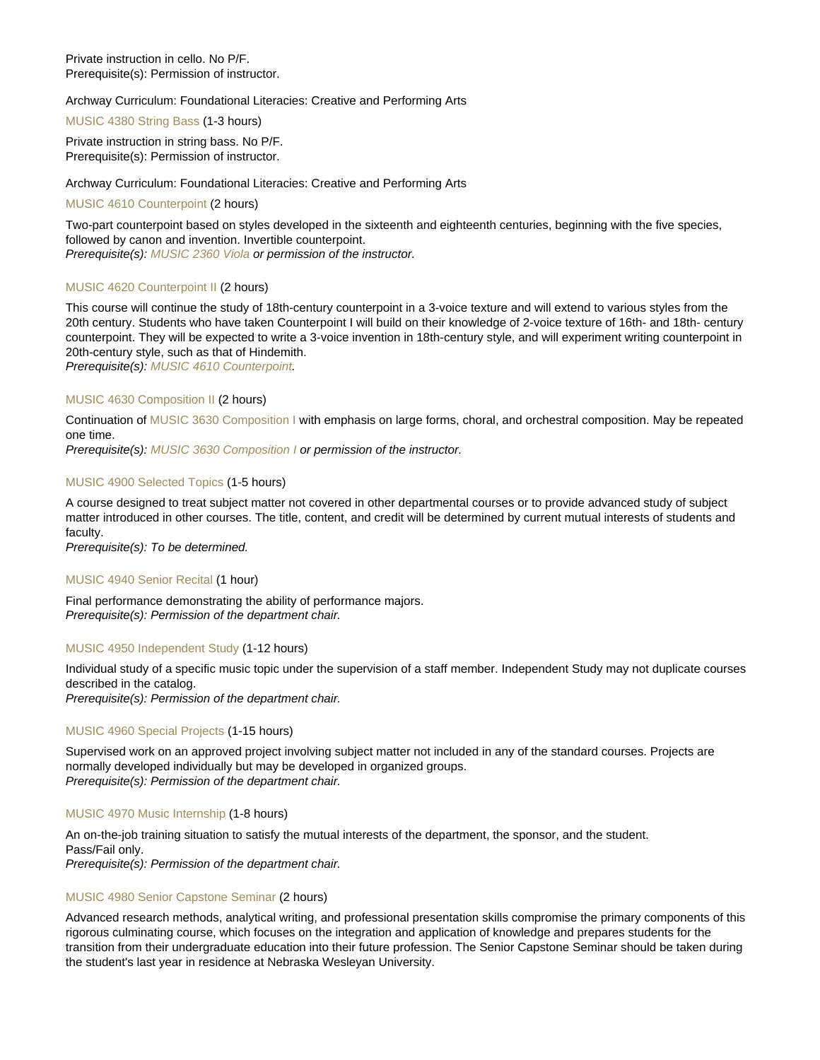Private instruction in cello. No P/F. Prerequisite(s): Permission of instructor.

Archway Curriculum: Foundational Literacies: Creative and Performing Arts

[MUSIC 4380 String Bass](https://catalog.nebrwesleyan.edu/node/307629) (1-3 hours)

Private instruction in string bass. No P/F. Prerequisite(s): Permission of instructor.

Archway Curriculum: Foundational Literacies: Creative and Performing Arts

[MUSIC 4610 Counterpoint](https://catalog.nebrwesleyan.edu/node/306905) (2 hours)

Two-part counterpoint based on styles developed in the sixteenth and eighteenth centuries, beginning with the five species, followed by canon and invention. Invertible counterpoint. Prerequisite(s): [MUSIC 2360 Viola](https://catalog.nebrwesleyan.edu/cc/2021-2022/course/360021) or permission of the instructor.

#### [MUSIC 4620 Counterpoint II](https://catalog.nebrwesleyan.edu/node/306906) (2 hours)

This course will continue the study of 18th-century counterpoint in a 3-voice texture and will extend to various styles from the 20th century. Students who have taken Counterpoint I will build on their knowledge of 2-voice texture of 16th- and 18th- century counterpoint. They will be expected to write a 3-voice invention in 18th-century style, and will experiment writing counterpoint in 20th-century style, such as that of Hindemith.

Prerequisite(s): [MUSIC 4610 Counterpoint](https://catalog.nebrwesleyan.edu/cc/2021-2022/course/360076).

#### [MUSIC 4630 Composition II](https://catalog.nebrwesleyan.edu/node/306907) (2 hours)

Continuation of [MUSIC 3630 Composition I](https://catalog.nebrwesleyan.edu/cc/2021-2022/course/360072) with emphasis on large forms, choral, and orchestral composition. May be repeated one time.

Prerequisite(s): [MUSIC 3630 Composition I](https://catalog.nebrwesleyan.edu/cc/2021-2022/course/360072) or permission of the instructor.

#### [MUSIC 4900 Selected Topics](https://catalog.nebrwesleyan.edu/node/306908) (1-5 hours)

A course designed to treat subject matter not covered in other departmental courses or to provide advanced study of subject matter introduced in other courses. The title, content, and credit will be determined by current mutual interests of students and faculty.

Prerequisite(s): To be determined.

#### [MUSIC 4940 Senior Recital](https://catalog.nebrwesleyan.edu/node/306910) (1 hour)

Final performance demonstrating the ability of performance majors. Prerequisite(s): Permission of the department chair.

#### [MUSIC 4950 Independent Study](https://catalog.nebrwesleyan.edu/node/306911) (1-12 hours)

Individual study of a specific music topic under the supervision of a staff member. Independent Study may not duplicate courses described in the catalog.

Prerequisite(s): Permission of the department chair.

#### [MUSIC 4960 Special Projects](https://catalog.nebrwesleyan.edu/node/306912) (1-15 hours)

Supervised work on an approved project involving subject matter not included in any of the standard courses. Projects are normally developed individually but may be developed in organized groups. Prerequisite(s): Permission of the department chair.

[MUSIC 4970 Music Internship](https://catalog.nebrwesleyan.edu/node/306913) (1-8 hours)

An on-the-job training situation to satisfy the mutual interests of the department, the sponsor, and the student. Pass/Fail only.

Prerequisite(s): Permission of the department chair.

#### [MUSIC 4980 Senior Capstone Seminar](https://catalog.nebrwesleyan.edu/node/306914) (2 hours)

Advanced research methods, analytical writing, and professional presentation skills compromise the primary components of this rigorous culminating course, which focuses on the integration and application of knowledge and prepares students for the transition from their undergraduate education into their future profession. The Senior Capstone Seminar should be taken during the student's last year in residence at Nebraska Wesleyan University.